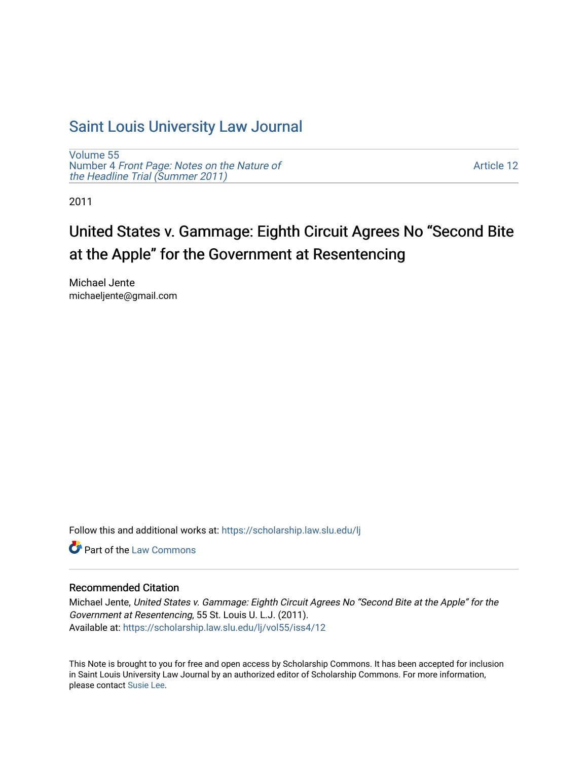## [Saint Louis University Law Journal](https://scholarship.law.slu.edu/lj)

[Volume 55](https://scholarship.law.slu.edu/lj/vol55) Number 4 [Front Page: Notes on the Nature of](https://scholarship.law.slu.edu/lj/vol55/iss4) [the Headline Trial \(Summer 2011\)](https://scholarship.law.slu.edu/lj/vol55/iss4)

[Article 12](https://scholarship.law.slu.edu/lj/vol55/iss4/12) 

2011

# United States v. Gammage: Eighth Circuit Agrees No "Second Bite at the Apple" for the Government at Resentencing

Michael Jente michaeljente@gmail.com

Follow this and additional works at: [https://scholarship.law.slu.edu/lj](https://scholarship.law.slu.edu/lj?utm_source=scholarship.law.slu.edu%2Flj%2Fvol55%2Fiss4%2F12&utm_medium=PDF&utm_campaign=PDFCoverPages) 

**C** Part of the [Law Commons](http://network.bepress.com/hgg/discipline/578?utm_source=scholarship.law.slu.edu%2Flj%2Fvol55%2Fiss4%2F12&utm_medium=PDF&utm_campaign=PDFCoverPages)

## Recommended Citation

Michael Jente, United States v. Gammage: Eighth Circuit Agrees No "Second Bite at the Apple" for the Government at Resentencing, 55 St. Louis U. L.J. (2011). Available at: [https://scholarship.law.slu.edu/lj/vol55/iss4/12](https://scholarship.law.slu.edu/lj/vol55/iss4/12?utm_source=scholarship.law.slu.edu%2Flj%2Fvol55%2Fiss4%2F12&utm_medium=PDF&utm_campaign=PDFCoverPages)

This Note is brought to you for free and open access by Scholarship Commons. It has been accepted for inclusion in Saint Louis University Law Journal by an authorized editor of Scholarship Commons. For more information, please contact [Susie Lee.](mailto:susie.lee@slu.edu)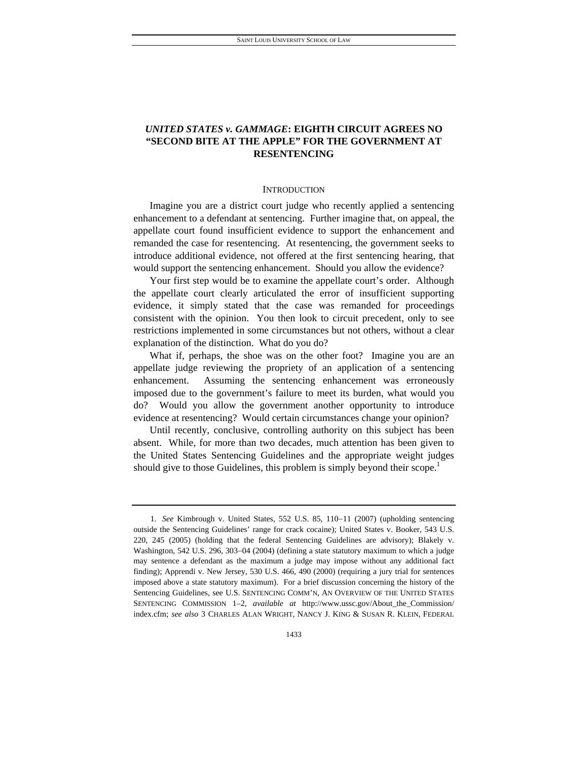## *UNITED STATES v. GAMMAGE***: EIGHTH CIRCUIT AGREES NO "SECOND BITE AT THE APPLE" FOR THE GOVERNMENT AT RESENTENCING**

## **INTRODUCTION**

Imagine you are a district court judge who recently applied a sentencing enhancement to a defendant at sentencing. Further imagine that, on appeal, the appellate court found insufficient evidence to support the enhancement and remanded the case for resentencing. At resentencing, the government seeks to introduce additional evidence, not offered at the first sentencing hearing, that would support the sentencing enhancement. Should you allow the evidence?

Your first step would be to examine the appellate court's order. Although the appellate court clearly articulated the error of insufficient supporting evidence, it simply stated that the case was remanded for proceedings consistent with the opinion. You then look to circuit precedent, only to see restrictions implemented in some circumstances but not others, without a clear explanation of the distinction. What do you do?

What if, perhaps, the shoe was on the other foot? Imagine you are an appellate judge reviewing the propriety of an application of a sentencing enhancement. Assuming the sentencing enhancement was erroneously imposed due to the government's failure to meet its burden, what would you do? Would you allow the government another opportunity to introduce evidence at resentencing? Would certain circumstances change your opinion?

Until recently, conclusive, controlling authority on this subject has been absent. While, for more than two decades, much attention has been given to the United States Sentencing Guidelines and the appropriate weight judges should give to those Guidelines, this problem is simply beyond their scope.<sup>1</sup>

<sup>1</sup>*. See* Kimbrough v. United States, 552 U.S. 85, 110–11 (2007) (upholding sentencing outside the Sentencing Guidelines' range for crack cocaine); United States v. Booker, 543 U.S. 220, 245 (2005) (holding that the federal Sentencing Guidelines are advisory); Blakely v. Washington, 542 U.S. 296, 303-04 (2004) (defining a state statutory maximum to which a judge may sentence a defendant as the maximum a judge may impose without any additional fact finding); Apprendi v. New Jersey, 530 U.S. 466, 490 (2000) (requiring a jury trial for sentences imposed above a state statutory maximum). For a brief discussion concerning the history of the Sentencing Guidelines, see U.S. SENTENCING COMM'N, AN OVERVIEW OF THE UNITED STATES SENTENCING COMMISSION 1–2, *available at* http://www.ussc.gov/About\_the\_Commission/ index.cfm; *see also* 3 CHARLES ALAN WRIGHT, NANCY J. KING & SUSAN R. KLEIN, FEDERAL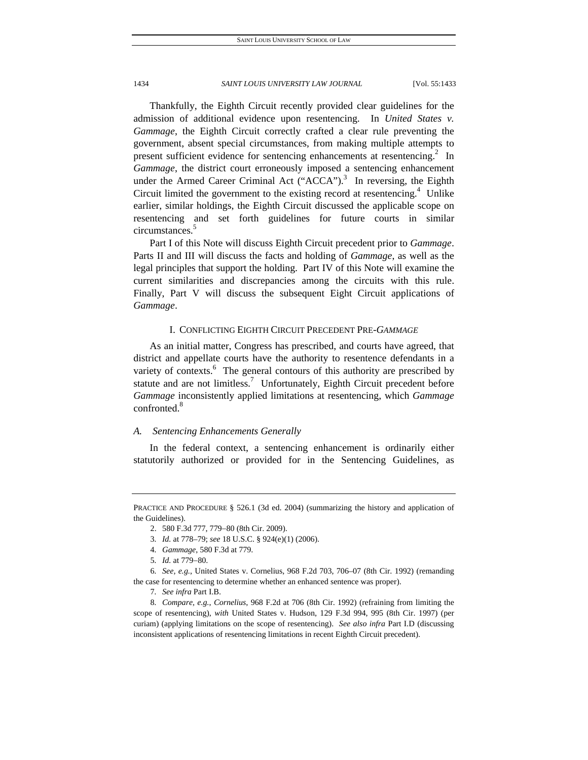Thankfully, the Eighth Circuit recently provided clear guidelines for the admission of additional evidence upon resentencing. In *United States v. Gammage*, the Eighth Circuit correctly crafted a clear rule preventing the government, absent special circumstances, from making multiple attempts to present sufficient evidence for sentencing enhancements at resentencing.<sup>2</sup> In *Gammage*, the district court erroneously imposed a sentencing enhancement under the Armed Career Criminal Act  $("ACCA")$ .<sup>3</sup> In reversing, the Eighth Circuit limited the government to the existing record at resentencing. $4$  Unlike earlier, similar holdings, the Eighth Circuit discussed the applicable scope on resentencing and set forth guidelines for future courts in similar circumstances.<sup>5</sup>

Part I of this Note will discuss Eighth Circuit precedent prior to *Gammage*. Parts II and III will discuss the facts and holding of *Gammage*, as well as the legal principles that support the holding. Part IV of this Note will examine the current similarities and discrepancies among the circuits with this rule. Finally, Part V will discuss the subsequent Eight Circuit applications of *Gammage*.

## I. CONFLICTING EIGHTH CIRCUIT PRECEDENT PRE-*GAMMAGE*

As an initial matter, Congress has prescribed, and courts have agreed, that district and appellate courts have the authority to resentence defendants in a variety of contexts. $6$  The general contours of this authority are prescribed by statute and are not limitless.<sup>7</sup> Unfortunately, Eighth Circuit precedent before *Gammage* inconsistently applied limitations at resentencing, which *Gammage* confronted.<sup>8</sup>

## *A. Sentencing Enhancements Generally*

In the federal context, a sentencing enhancement is ordinarily either statutorily authorized or provided for in the Sentencing Guidelines, as

PRACTICE AND PROCEDURE § 526.1 (3d ed. 2004) (summarizing the history and application of the Guidelines).

<sup>2. 580</sup> F.3d 777, 779-80 (8th Cir. 2009).

<sup>3</sup>*. Id.* at 778–79; *see* 18 U.S.C. § 924(e)(1) (2006).

<sup>4</sup>*. Gammage*, 580 F.3d at 779.

<sup>5.</sup> *Id.* at 779-80.

<sup>6</sup>*. See, e.g.*, United States v. Cornelius, 968 F.2d 703, 706–07 (8th Cir. 1992) (remanding the case for resentencing to determine whether an enhanced sentence was proper).

<sup>7</sup>*. See infra* Part I.B.

<sup>8</sup>*. Compare, e.g.*, *Cornelius*, 968 F.2d at 706 (8th Cir. 1992) (refraining from limiting the scope of resentencing), *with* United States v. Hudson, 129 F.3d 994, 995 (8th Cir. 1997) (per curiam) (applying limitations on the scope of resentencing). *See also infra* Part I.D (discussing inconsistent applications of resentencing limitations in recent Eighth Circuit precedent).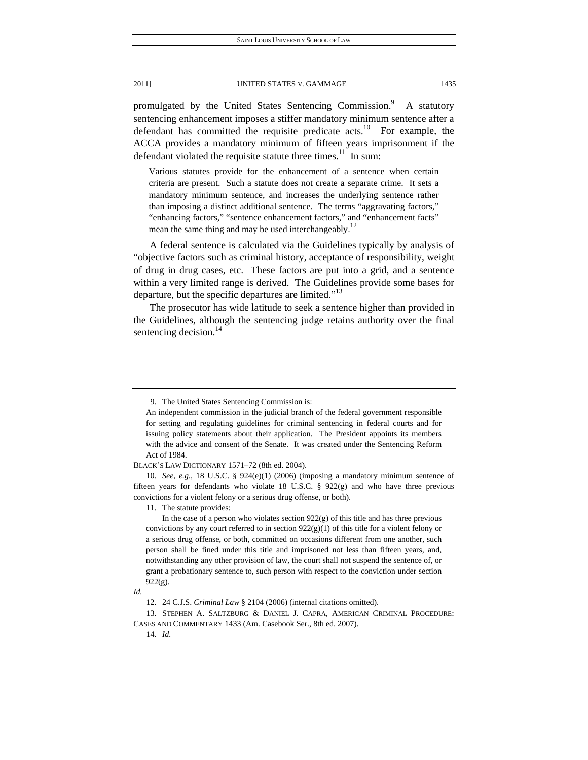promulgated by the United States Sentencing Commission.<sup>9</sup> A statutory sentencing enhancement imposes a stiffer mandatory minimum sentence after a defendant has committed the requisite predicate  $\arctan 10$  For example, the ACCA provides a mandatory minimum of fifteen years imprisonment if the defendant violated the requisite statute three times.<sup>11</sup> In sum:

Various statutes provide for the enhancement of a sentence when certain criteria are present. Such a statute does not create a separate crime. It sets a mandatory minimum sentence, and increases the underlying sentence rather than imposing a distinct additional sentence. The terms "aggravating factors," "enhancing factors," "sentence enhancement factors," and "enhancement facts" mean the same thing and may be used interchangeably.<sup>12</sup>

A federal sentence is calculated via the Guidelines typically by analysis of "objective factors such as criminal history, acceptance of responsibility, weight of drug in drug cases, etc. These factors are put into a grid, and a sentence within a very limited range is derived. The Guidelines provide some bases for departure, but the specific departures are limited."<sup>13</sup>

The prosecutor has wide latitude to seek a sentence higher than provided in the Guidelines, although the sentencing judge retains authority over the final sentencing decision. $^{14}$ 

*Id.*

 13. STEPHEN A. SALTZBURG & DANIEL J. CAPRA, AMERICAN CRIMINAL PROCEDURE: CASES AND COMMENTARY 1433 (Am. Casebook Ser., 8th ed. 2007).

 <sup>9.</sup> The United States Sentencing Commission is:

An independent commission in the judicial branch of the federal government responsible for setting and regulating guidelines for criminal sentencing in federal courts and for issuing policy statements about their application. The President appoints its members with the advice and consent of the Senate. It was created under the Sentencing Reform Act of 1984.

BLACK'S LAW DICTIONARY 1571–72 (8th ed. 2004).

<sup>10</sup>*. See, e.g.*, 18 U.S.C. § 924(e)(1) (2006) (imposing a mandatory minimum sentence of fifteen years for defendants who violate 18 U.S.C.  $\S$  922(g) and who have three previous convictions for a violent felony or a serious drug offense, or both).

 <sup>11.</sup> The statute provides:

In the case of a person who violates section  $922(g)$  of this title and has three previous convictions by any court referred to in section  $922(g)(1)$  of this title for a violent felony or a serious drug offense, or both, committed on occasions different from one another, such person shall be fined under this title and imprisoned not less than fifteen years, and, notwithstanding any other provision of law, the court shall not suspend the sentence of, or grant a probationary sentence to, such person with respect to the conviction under section 922(g).

 <sup>12. 24</sup> C.J.S. *Criminal Law* § 2104 (2006) (internal citations omitted).

<sup>14</sup>*. Id.*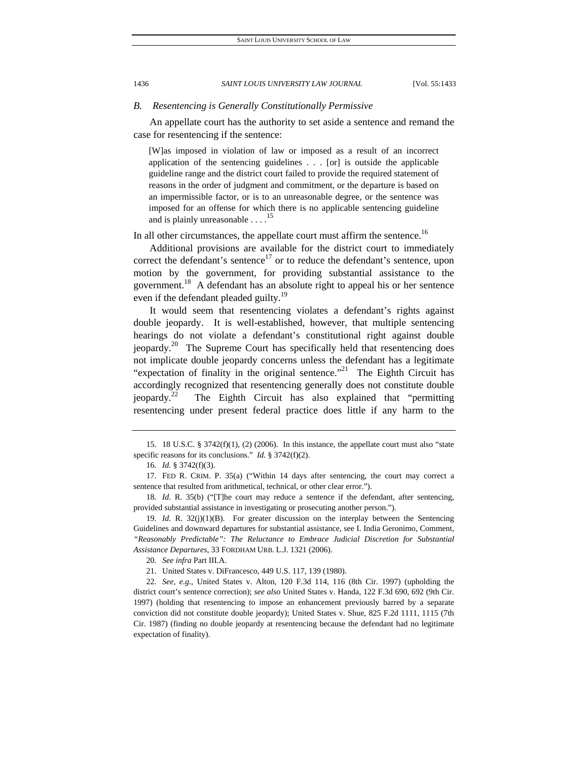## *B. Resentencing is Generally Constitutionally Permissive*

An appellate court has the authority to set aside a sentence and remand the case for resentencing if the sentence:

[W]as imposed in violation of law or imposed as a result of an incorrect application of the sentencing guidelines . . . [or] is outside the applicable guideline range and the district court failed to provide the required statement of reasons in the order of judgment and commitment, or the departure is based on an impermissible factor, or is to an unreasonable degree, or the sentence was imposed for an offense for which there is no applicable sentencing guideline and is plainly unreasonable  $\dots$ <sup>1</sup>

In all other circumstances, the appellate court must affirm the sentence.<sup>16</sup>

Additional provisions are available for the district court to immediately correct the defendant's sentence<sup>17</sup> or to reduce the defendant's sentence, upon motion by the government, for providing substantial assistance to the government.<sup>18</sup> A defendant has an absolute right to appeal his or her sentence even if the defendant pleaded guilty.<sup>19</sup>

It would seem that resentencing violates a defendant's rights against double jeopardy. It is well-established, however, that multiple sentencing hearings do not violate a defendant's constitutional right against double jeopardy.<sup>20</sup> The Supreme Court has specifically held that resentencing does not implicate double jeopardy concerns unless the defendant has a legitimate "expectation of finality in the original sentence."<sup>21</sup> The Eighth Circuit has accordingly recognized that resentencing generally does not constitute double jeopardy.<sup>22</sup> The Eighth Circuit has also explained that "permitting resentencing under present federal practice does little if any harm to the

 <sup>15. 18</sup> U.S.C. § 3742(f)(1), (2) (2006). In this instance, the appellate court must also "state specific reasons for its conclusions." *Id.* § 3742(f)(2).

<sup>16</sup>*. Id.* § 3742(f)(3).

 <sup>17.</sup> FED R. CRIM. P. 35(a) ("Within 14 days after sentencing, the court may correct a sentence that resulted from arithmetical, technical, or other clear error.").

<sup>18</sup>*. Id.* R. 35(b) ("[T]he court may reduce a sentence if the defendant, after sentencing, provided substantial assistance in investigating or prosecuting another person.").

<sup>19.</sup> *Id.* R.  $32(j)(1)(B)$ . For greater discussion on the interplay between the Sentencing Guidelines and downward departures for substantial assistance, see I. India Geronimo, Comment, *"Reasonably Predictable": The Reluctance to Embrace Judicial Discretion for Substantial Assistance Departures*, 33 FORDHAM URB. L.J. 1321 (2006).

<sup>20</sup>*. See infra* Part III.A.

 <sup>21.</sup> United States v. DiFrancesco, 449 U.S. 117, 139 (1980).

<sup>22</sup>*. See, e.g.*, United States v. Alton, 120 F.3d 114, 116 (8th Cir. 1997) (upholding the district court's sentence correction); *see also* United States v. Handa, 122 F.3d 690, 692 (9th Cir. 1997) (holding that resentencing to impose an enhancement previously barred by a separate conviction did not constitute double jeopardy); United States v. Shue, 825 F.2d 1111, 1115 (7th Cir. 1987) (finding no double jeopardy at resentencing because the defendant had no legitimate expectation of finality).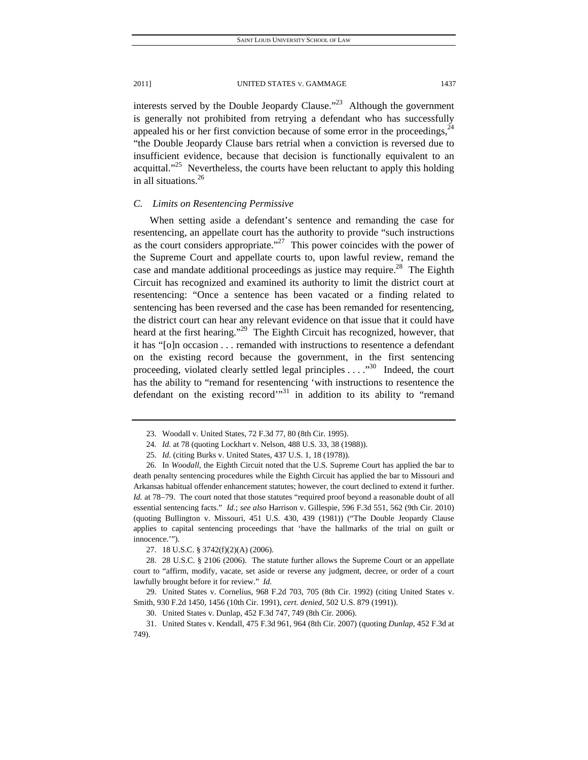interests served by the Double Jeopardy Clause. $123$  Although the government is generally not prohibited from retrying a defendant who has successfully appealed his or her first conviction because of some error in the proceedings,  $24$ "the Double Jeopardy Clause bars retrial when a conviction is reversed due to insufficient evidence, because that decision is functionally equivalent to an acquittal."<sup>25</sup> Nevertheless, the courts have been reluctant to apply this holding in all situations.<sup>26</sup>

## *C. Limits on Resentencing Permissive*

When setting aside a defendant's sentence and remanding the case for resentencing, an appellate court has the authority to provide "such instructions as the court considers appropriate."<sup>27</sup> This power coincides with the power of the Supreme Court and appellate courts to, upon lawful review, remand the case and mandate additional proceedings as justice may require.<sup>28</sup> The Eighth Circuit has recognized and examined its authority to limit the district court at resentencing: "Once a sentence has been vacated or a finding related to sentencing has been reversed and the case has been remanded for resentencing, the district court can hear any relevant evidence on that issue that it could have heard at the first hearing."<sup>29</sup> The Eighth Circuit has recognized, however, that it has "[o]n occasion . . . remanded with instructions to resentence a defendant on the existing record because the government, in the first sentencing proceeding, violated clearly settled legal principles  $\dots$ ."<sup>30</sup> Indeed, the court has the ability to "remand for resentencing 'with instructions to resentence the defendant on the existing record"<sup>31</sup> in addition to its ability to "remand

 <sup>23.</sup> Woodall v. United States, 72 F.3d 77, 80 (8th Cir. 1995).

<sup>24</sup>*. Id.* at 78 (quoting Lockhart v. Nelson, 488 U.S. 33, 38 (1988)).

<sup>25</sup>*. Id.* (citing Burks v. United States, 437 U.S. 1, 18 (1978)).

 <sup>26.</sup> In *Woodall*, the Eighth Circuit noted that the U.S. Supreme Court has applied the bar to death penalty sentencing procedures while the Eighth Circuit has applied the bar to Missouri and Arkansas habitual offender enhancement statutes; however, the court declined to extend it further. *Id.* at 78–79. The court noted that those statutes "required proof beyond a reasonable doubt of all essential sentencing facts." *Id.*; *see also* Harrison v. Gillespie, 596 F.3d 551, 562 (9th Cir. 2010) (quoting Bullington v. Missouri, 451 U.S. 430, 439 (1981)) ("The Double Jeopardy Clause applies to capital sentencing proceedings that 'have the hallmarks of the trial on guilt or innocence.'").

 <sup>27. 18</sup> U.S.C. § 3742(f)(2)(A) (2006).

 <sup>28. 28</sup> U.S.C. § 2106 (2006). The statute further allows the Supreme Court or an appellate court to "affirm, modify, vacate, set aside or reverse any judgment, decree, or order of a court lawfully brought before it for review." *Id.*

 <sup>29.</sup> United States v. Cornelius, 968 F.2d 703, 705 (8th Cir. 1992) (citing United States v. Smith, 930 F.2d 1450, 1456 (10th Cir. 1991), *cert. denied*, 502 U.S. 879 (1991)).

 <sup>30.</sup> United States v. Dunlap, 452 F.3d 747, 749 (8th Cir. 2006).

 <sup>31.</sup> United States v. Kendall, 475 F.3d 961, 964 (8th Cir. 2007) (quoting *Dunlap*, 452 F.3d at 749).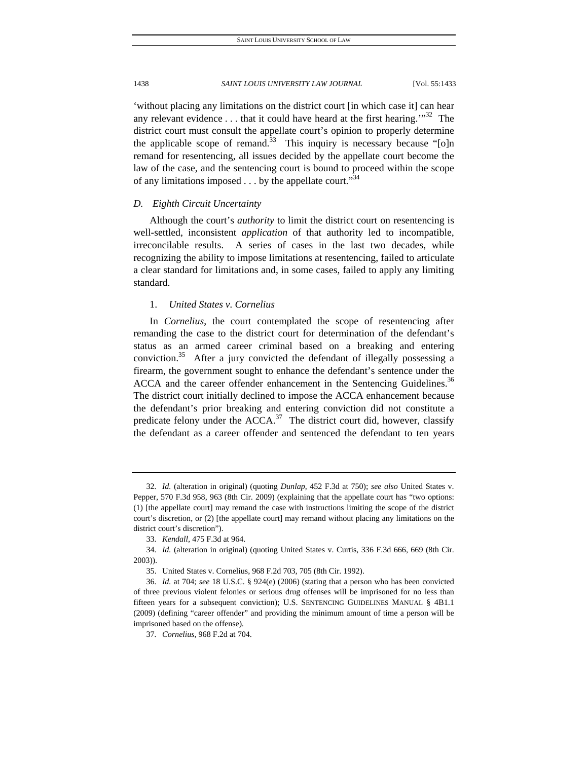'without placing any limitations on the district court [in which case it] can hear any relevant evidence  $\dots$  that it could have heard at the first hearing.<sup> $32$ </sup> The district court must consult the appellate court's opinion to properly determine the applicable scope of remand.<sup>33</sup> This inquiry is necessary because "[o]n remand for resentencing, all issues decided by the appellate court become the law of the case, and the sentencing court is bound to proceed within the scope of any limitations imposed  $\dots$  by the appellate court.<sup>34</sup>

## *D. Eighth Circuit Uncertainty*

Although the court's *authority* to limit the district court on resentencing is well-settled, inconsistent *application* of that authority led to incompatible, irreconcilable results. A series of cases in the last two decades, while recognizing the ability to impose limitations at resentencing, failed to articulate a clear standard for limitations and, in some cases, failed to apply any limiting standard.

## 1. *United States v. Cornelius*

In *Cornelius*, the court contemplated the scope of resentencing after remanding the case to the district court for determination of the defendant's status as an armed career criminal based on a breaking and entering conviction.<sup>35</sup> After a jury convicted the defendant of illegally possessing a firearm, the government sought to enhance the defendant's sentence under the ACCA and the career offender enhancement in the Sentencing Guidelines.<sup>36</sup> The district court initially declined to impose the ACCA enhancement because the defendant's prior breaking and entering conviction did not constitute a predicate felony under the  $ACCA$ <sup>37</sup> The district court did, however, classify the defendant as a career offender and sentenced the defendant to ten years

<sup>32</sup>*. Id.* (alteration in original) (quoting *Dunlap*, 452 F.3d at 750); *see also* United States v. Pepper, 570 F.3d 958, 963 (8th Cir. 2009) (explaining that the appellate court has "two options: (1) [the appellate court] may remand the case with instructions limiting the scope of the district court's discretion, or (2) [the appellate court] may remand without placing any limitations on the district court's discretion").

<sup>33</sup>*. Kendall*, 475 F.3d at 964.

<sup>34</sup>*. Id.* (alteration in original) (quoting United States v. Curtis, 336 F.3d 666, 669 (8th Cir. 2003)).

 <sup>35.</sup> United States v. Cornelius, 968 F.2d 703, 705 (8th Cir. 1992).

<sup>36</sup>*. Id.* at 704; *see* 18 U.S.C. § 924(e) (2006) (stating that a person who has been convicted of three previous violent felonies or serious drug offenses will be imprisoned for no less than fifteen years for a subsequent conviction); U.S. SENTENCING GUIDELINES MANUAL § 4B1.1 (2009) (defining "career offender" and providing the minimum amount of time a person will be imprisoned based on the offense).

<sup>37</sup>*. Cornelius*, 968 F.2d at 704.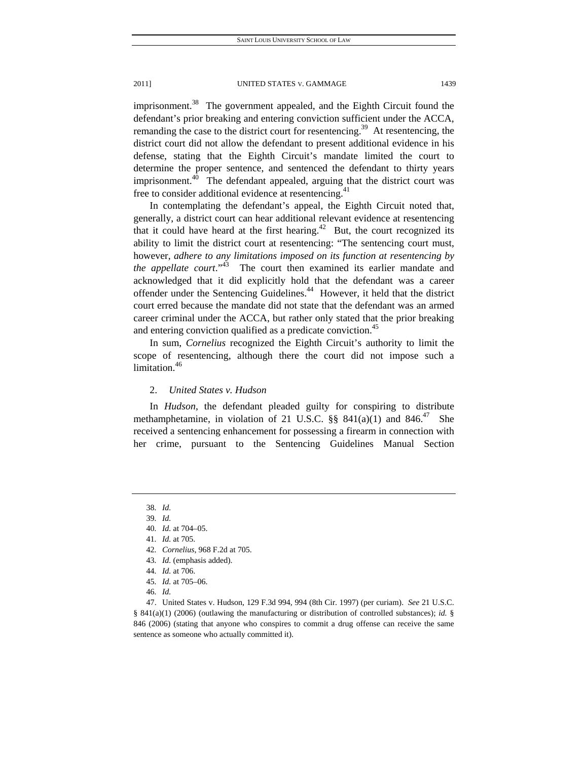imprisonment.<sup>38</sup> The government appealed, and the Eighth Circuit found the defendant's prior breaking and entering conviction sufficient under the ACCA, remanding the case to the district court for resentencing.<sup>39</sup> At resentencing, the district court did not allow the defendant to present additional evidence in his defense, stating that the Eighth Circuit's mandate limited the court to determine the proper sentence, and sentenced the defendant to thirty years imprisonment.<sup>40</sup> The defendant appealed, arguing that the district court was free to consider additional evidence at resentencing.<sup>41</sup>

In contemplating the defendant's appeal, the Eighth Circuit noted that, generally, a district court can hear additional relevant evidence at resentencing that it could have heard at the first hearing.<sup>42</sup> But, the court recognized its ability to limit the district court at resentencing: "The sentencing court must, however, *adhere to any limitations imposed on its function at resentencing by the appellate court.*"<sup>43</sup> The court then examined its earlier mandate and acknowledged that it did explicitly hold that the defendant was a career offender under the Sentencing Guidelines.<sup>44</sup> However, it held that the district court erred because the mandate did not state that the defendant was an armed career criminal under the ACCA, but rather only stated that the prior breaking and entering conviction qualified as a predicate conviction.<sup>45</sup>

In sum, *Cornelius* recognized the Eighth Circuit's authority to limit the scope of resentencing, although there the court did not impose such a limitation.<sup>46</sup>

## 2. *United States v. Hudson*

In *Hudson*, the defendant pleaded guilty for conspiring to distribute methamphetamine, in violation of 21 U.S.C.  $\S$ § 841(a)(1) and 846.<sup>47</sup> She received a sentencing enhancement for possessing a firearm in connection with her crime, pursuant to the Sentencing Guidelines Manual Section

42*. Cornelius*, 968 F.2d at 705.

<sup>38</sup>*. Id.*

<sup>39</sup>*. Id.*

<sup>40</sup>*. Id.* at 704–05.

<sup>41</sup>*. Id.* at 705.

<sup>43</sup>*. Id.* (emphasis added).

<sup>44</sup>*. Id.* at 706.

<sup>45</sup>*. Id.* at 705–06.

<sup>46</sup>*. Id.*

 <sup>47.</sup> United States v. Hudson, 129 F.3d 994, 994 (8th Cir. 1997) (per curiam). *See* 21 U.S.C. § 841(a)(1) (2006) (outlawing the manufacturing or distribution of controlled substances); *id.* § 846 (2006) (stating that anyone who conspires to commit a drug offense can receive the same sentence as someone who actually committed it).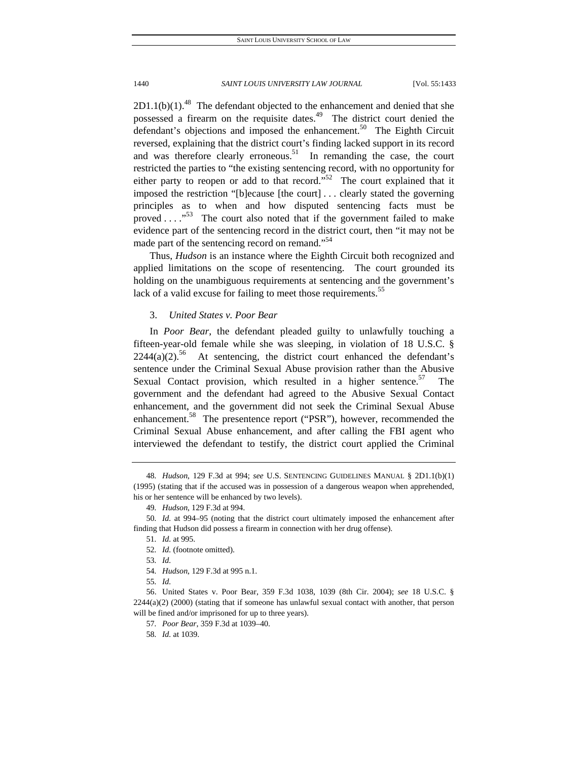$2D1.1(b)(1).<sup>48</sup>$  The defendant objected to the enhancement and denied that she possessed a firearm on the requisite dates.<sup>49</sup> The district court denied the defendant's objections and imposed the enhancement.<sup>50</sup> The Eighth Circuit reversed, explaining that the district court's finding lacked support in its record and was therefore clearly erroneous.<sup>51</sup> In remanding the case, the court restricted the parties to "the existing sentencing record, with no opportunity for either party to reopen or add to that record." $52$  The court explained that it imposed the restriction "[b]ecause [the court] . . . clearly stated the governing principles as to when and how disputed sentencing facts must be proved  $\dots$ ."<sup>53</sup> The court also noted that if the government failed to make evidence part of the sentencing record in the district court, then "it may not be made part of the sentencing record on remand."<sup>54</sup>

Thus, *Hudson* is an instance where the Eighth Circuit both recognized and applied limitations on the scope of resentencing. The court grounded its holding on the unambiguous requirements at sentencing and the government's lack of a valid excuse for failing to meet those requirements.<sup>55</sup>

## 3. *United States v. Poor Bear*

In *Poor Bear*, the defendant pleaded guilty to unlawfully touching a fifteen-year-old female while she was sleeping, in violation of 18 U.S.C. §  $2244(a)(2)$ <sup>56</sup> At sentencing, the district court enhanced the defendant's sentence under the Criminal Sexual Abuse provision rather than the Abusive Sexual Contact provision, which resulted in a higher sentence.<sup>57</sup> The government and the defendant had agreed to the Abusive Sexual Contact enhancement, and the government did not seek the Criminal Sexual Abuse enhancement.<sup>58</sup> The presentence report ("PSR"), however, recommended the Criminal Sexual Abuse enhancement, and after calling the FBI agent who interviewed the defendant to testify, the district court applied the Criminal

<sup>48</sup>*. Hudson*, 129 F.3d at 994; *see* U.S. SENTENCING GUIDELINES MANUAL § 2D1.1(b)(1) (1995) (stating that if the accused was in possession of a dangerous weapon when apprehended, his or her sentence will be enhanced by two levels).

<sup>49</sup>*. Hudson*, 129 F.3d at 994.

<sup>50</sup>*. Id.* at 994–95 (noting that the district court ultimately imposed the enhancement after finding that Hudson did possess a firearm in connection with her drug offense).

<sup>51</sup>*. Id.* at 995. 52*. Id.* (footnote omitted).

<sup>53</sup>*. Id.*

<sup>54</sup>*. Hudson*, 129 F.3d at 995 n.1.

<sup>55</sup>*. Id.*

 <sup>56.</sup> United States v. Poor Bear, 359 F.3d 1038, 1039 (8th Cir. 2004); *see* 18 U.S.C. § 2244(a)(2) (2000) (stating that if someone has unlawful sexual contact with another, that person will be fined and/or imprisoned for up to three years).

<sup>57</sup>*. Poor Bear*, 359 F.3d at 1039–40.

<sup>58</sup>*. Id.* at 1039.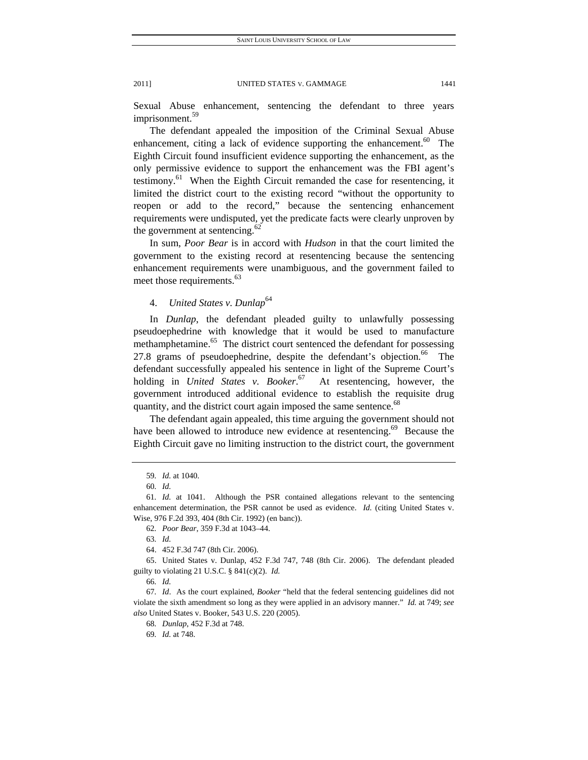Sexual Abuse enhancement, sentencing the defendant to three years imprisonment.<sup>59</sup>

The defendant appealed the imposition of the Criminal Sexual Abuse enhancement, citing a lack of evidence supporting the enhancement.<sup>60</sup> The Eighth Circuit found insufficient evidence supporting the enhancement, as the only permissive evidence to support the enhancement was the FBI agent's testimony.<sup>61</sup> When the Eighth Circuit remanded the case for resentencing, it limited the district court to the existing record "without the opportunity to reopen or add to the record," because the sentencing enhancement requirements were undisputed, yet the predicate facts were clearly unproven by the government at sentencing. $62$ 

In sum, *Poor Bear* is in accord with *Hudson* in that the court limited the government to the existing record at resentencing because the sentencing enhancement requirements were unambiguous, and the government failed to meet those requirements.<sup>63</sup>

## 4. *United States v. Dunlap*<sup>64</sup>

In *Dunlap*, the defendant pleaded guilty to unlawfully possessing pseudoephedrine with knowledge that it would be used to manufacture methamphetamine.<sup>65</sup> The district court sentenced the defendant for possessing 27.8 grams of pseudoephedrine, despite the defendant's objection.<sup>66</sup> The defendant successfully appealed his sentence in light of the Supreme Court's holding in *United States v. Booker*. At resentencing, however, the government introduced additional evidence to establish the requisite drug quantity, and the district court again imposed the same sentence.<sup>68</sup>

The defendant again appealed, this time arguing the government should not have been allowed to introduce new evidence at resentencing.<sup>69</sup> Because the Eighth Circuit gave no limiting instruction to the district court, the government

<sup>59</sup>*. Id.* at 1040.

<sup>60</sup>*. Id.*

<sup>61</sup>*. Id.* at 1041. Although the PSR contained allegations relevant to the sentencing enhancement determination, the PSR cannot be used as evidence. *Id.* (citing United States v. Wise, 976 F.2d 393, 404 (8th Cir. 1992) (en banc)).

<sup>62</sup>*. Poor Bear*, 359 F.3d at 1043–44.

<sup>63</sup>*. Id.*

 <sup>64. 452</sup> F.3d 747 (8th Cir. 2006).

 <sup>65.</sup> United States v. Dunlap, 452 F.3d 747, 748 (8th Cir. 2006). The defendant pleaded guilty to violating 21 U.S.C. § 841(c)(2). *Id.*

<sup>66</sup>*. Id.*

<sup>67</sup>*. Id*. As the court explained, *Booker* "held that the federal sentencing guidelines did not violate the sixth amendment so long as they were applied in an advisory manner." *Id.* at 749; *see also* United States v. Booker, 543 U.S. 220 (2005).

<sup>68</sup>*. Dunlap*, 452 F.3d at 748.

<sup>69</sup>*. Id.* at 748.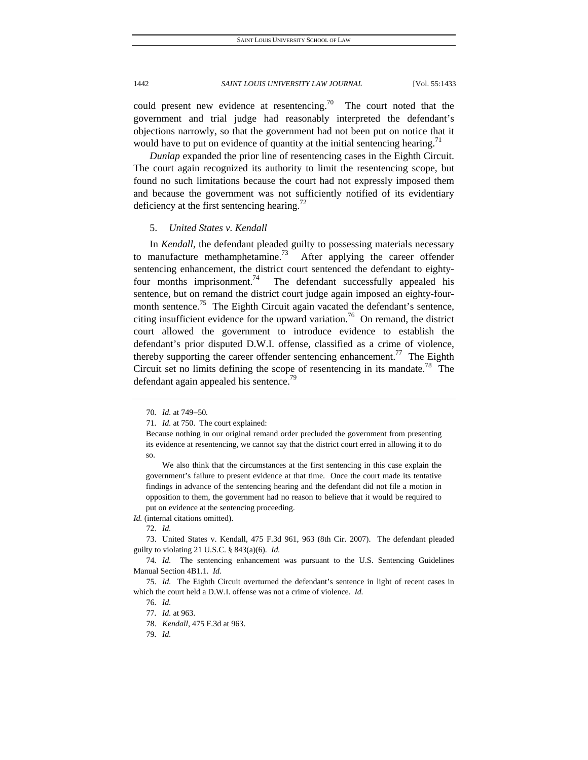could present new evidence at resentencing.<sup>70</sup> The court noted that the government and trial judge had reasonably interpreted the defendant's objections narrowly, so that the government had not been put on notice that it would have to put on evidence of quantity at the initial sentencing hearing.<sup>71</sup>

*Dunlap* expanded the prior line of resentencing cases in the Eighth Circuit. The court again recognized its authority to limit the resentencing scope, but found no such limitations because the court had not expressly imposed them and because the government was not sufficiently notified of its evidentiary deficiency at the first sentencing hearing.<sup>72</sup>

## 5. *United States v. Kendall*

In *Kendall*, the defendant pleaded guilty to possessing materials necessary to manufacture methamphetamine.<sup>73</sup> After applying the career offender sentencing enhancement, the district court sentenced the defendant to eightyfour months imprisonment.<sup>74</sup> The defendant successfully appealed his sentence, but on remand the district court judge again imposed an eighty-fourmonth sentence.<sup>75</sup> The Eighth Circuit again vacated the defendant's sentence, citing insufficient evidence for the upward variation.<sup>76</sup> On remand, the district court allowed the government to introduce evidence to establish the defendant's prior disputed D.W.I. offense, classified as a crime of violence, thereby supporting the career offender sentencing enhancement.<sup>77</sup> The Eighth Circuit set no limits defining the scope of resentencing in its mandate.<sup>78</sup> The defendant again appealed his sentence.<sup>79</sup>

*Id.* (internal citations omitted).

<sup>70.</sup> *Id.* at 749-50.

<sup>71</sup>*. Id.* at 750. The court explained:

Because nothing in our original remand order precluded the government from presenting its evidence at resentencing, we cannot say that the district court erred in allowing it to do so.

We also think that the circumstances at the first sentencing in this case explain the government's failure to present evidence at that time. Once the court made its tentative findings in advance of the sentencing hearing and the defendant did not file a motion in opposition to them, the government had no reason to believe that it would be required to put on evidence at the sentencing proceeding.

<sup>72</sup>*. Id.*

 <sup>73.</sup> United States v. Kendall, 475 F.3d 961, 963 (8th Cir. 2007). The defendant pleaded guilty to violating 21 U.S.C. § 843(a)(6). *Id.*

<sup>74</sup>*. Id.* The sentencing enhancement was pursuant to the U.S. Sentencing Guidelines Manual Section 4B1.1. *Id.*

<sup>75</sup>*. Id.* The Eighth Circuit overturned the defendant's sentence in light of recent cases in which the court held a D.W.I. offense was not a crime of violence. *Id.*

<sup>76</sup>*. Id.*

<sup>77</sup>*. Id.* at 963.

<sup>78</sup>*. Kendall*, 475 F.3d at 963.

<sup>79</sup>*. Id.*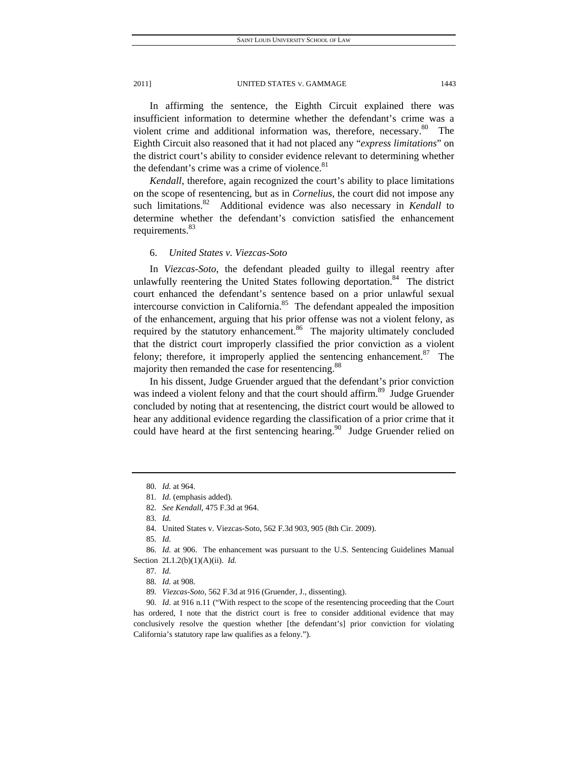In affirming the sentence, the Eighth Circuit explained there was insufficient information to determine whether the defendant's crime was a violent crime and additional information was, therefore, necessary. $80$  The Eighth Circuit also reasoned that it had not placed any "*express limitations*" on the district court's ability to consider evidence relevant to determining whether the defendant's crime was a crime of violence.<sup>81</sup>

*Kendall*, therefore, again recognized the court's ability to place limitations on the scope of resentencing, but as in *Cornelius*, the court did not impose any such limitations.<sup>82</sup> Additional evidence was also necessary in *Kendall* to determine whether the defendant's conviction satisfied the enhancement requirements.<sup>83</sup>

## 6. *United States v. Viezcas-Soto*

In *Viezcas-Soto*, the defendant pleaded guilty to illegal reentry after unlawfully reentering the United States following deportation.<sup>84</sup> The district court enhanced the defendant's sentence based on a prior unlawful sexual intercourse conviction in California.<sup>85</sup> The defendant appealed the imposition of the enhancement, arguing that his prior offense was not a violent felony, as required by the statutory enhancement.<sup>86</sup> The majority ultimately concluded that the district court improperly classified the prior conviction as a violent felony; therefore, it improperly applied the sentencing enhancement.<sup>87</sup> The majority then remanded the case for resentencing.<sup>88</sup>

In his dissent, Judge Gruender argued that the defendant's prior conviction was indeed a violent felony and that the court should affirm.<sup>89</sup> Judge Gruender concluded by noting that at resentencing, the district court would be allowed to hear any additional evidence regarding the classification of a prior crime that it could have heard at the first sentencing hearing.<sup>90</sup> Judge Gruender relied on

<sup>80</sup>*. Id.* at 964.

<sup>81</sup>*. Id.* (emphasis added).

<sup>82</sup>*. See Kendall*, 475 F.3d at 964.

<sup>83</sup>*. Id.*

 <sup>84.</sup> United States v. Viezcas-Soto, 562 F.3d 903, 905 (8th Cir. 2009).

<sup>85</sup>*. Id.*

<sup>86</sup>*. Id.* at 906. The enhancement was pursuant to the U.S. Sentencing Guidelines Manual Section 2L1.2(b)(1)(A)(ii). *Id.*

<sup>87</sup>*. Id.*

<sup>88</sup>*. Id.* at 908.

<sup>89</sup>*. Viezcas-Soto*, 562 F.3d at 916 (Gruender, J., dissenting).

<sup>90</sup>*. Id.* at 916 n.11 ("With respect to the scope of the resentencing proceeding that the Court has ordered, I note that the district court is free to consider additional evidence that may conclusively resolve the question whether [the defendant's] prior conviction for violating California's statutory rape law qualifies as a felony.").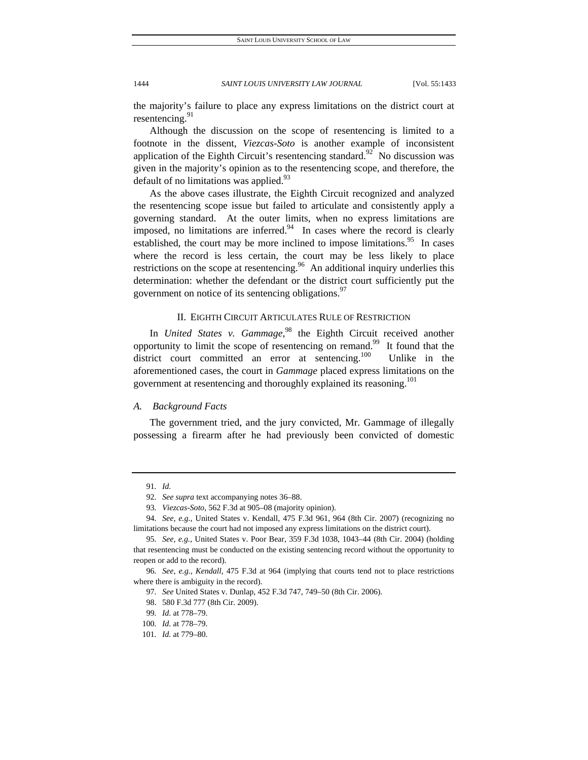the majority's failure to place any express limitations on the district court at resentencing. $91$ 

Although the discussion on the scope of resentencing is limited to a footnote in the dissent, *Viezcas-Soto* is another example of inconsistent application of the Eighth Circuit's resentencing standard.<sup>92</sup> No discussion was given in the majority's opinion as to the resentencing scope, and therefore, the default of no limitations was applied. $93$ 

As the above cases illustrate, the Eighth Circuit recognized and analyzed the resentencing scope issue but failed to articulate and consistently apply a governing standard. At the outer limits, when no express limitations are imposed, no limitations are inferred.<sup>94</sup> In cases where the record is clearly established, the court may be more inclined to impose limitations.<sup>95</sup> In cases where the record is less certain, the court may be less likely to place restrictions on the scope at resentencing.<sup>96</sup> An additional inquiry underlies this determination: whether the defendant or the district court sufficiently put the government on notice of its sentencing obligations.<sup>97</sup>

## II. EIGHTH CIRCUIT ARTICULATES RULE OF RESTRICTION

In *United States v. Gammage*,<sup>98</sup> the Eighth Circuit received another opportunity to limit the scope of resentencing on remand.<sup>99</sup> It found that the district court committed an error at sentencing.<sup>100</sup> Unlike in the aforementioned cases, the court in *Gammage* placed express limitations on the government at resentencing and thoroughly explained its reasoning.<sup>101</sup>

## *A. Background Facts*

The government tried, and the jury convicted, Mr. Gammage of illegally possessing a firearm after he had previously been convicted of domestic

<sup>91</sup>*. Id.*

<sup>92</sup>*. See supra* text accompanying notes 36–88.

<sup>93</sup>*. Viezcas-Soto*, 562 F.3d at 905–08 (majority opinion).

<sup>94</sup>*. See, e.g.*, United States v. Kendall, 475 F.3d 961, 964 (8th Cir. 2007) (recognizing no limitations because the court had not imposed any express limitations on the district court).

<sup>95</sup>*. See, e.g.*, United States v. Poor Bear, 359 F.3d 1038, 1043–44 (8th Cir. 2004) (holding that resentencing must be conducted on the existing sentencing record without the opportunity to reopen or add to the record).

<sup>96</sup>*. See, e.g.*, *Kendall*, 475 F.3d at 964 (implying that courts tend not to place restrictions where there is ambiguity in the record).

<sup>97</sup>*. See* United States v. Dunlap, 452 F.3d 747, 749–50 (8th Cir. 2006).

 <sup>98. 580</sup> F.3d 777 (8th Cir. 2009).

<sup>99</sup>*. Id.* at 778–79.

<sup>100</sup>*. Id.* at 778–79.

<sup>101</sup>*. Id.* at 779–80.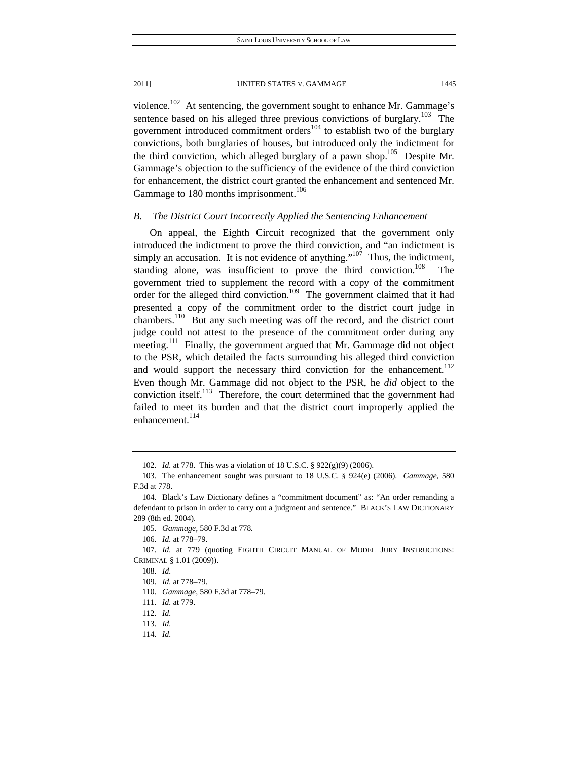violence.<sup>102</sup> At sentencing, the government sought to enhance Mr. Gammage's sentence based on his alleged three previous convictions of burglary.<sup>103</sup> The government introduced commitment orders<sup>104</sup> to establish two of the burglary convictions, both burglaries of houses, but introduced only the indictment for the third conviction, which alleged burglary of a pawn shop.<sup>105</sup> Despite Mr. Gammage's objection to the sufficiency of the evidence of the third conviction for enhancement, the district court granted the enhancement and sentenced Mr. Gammage to 180 months imprisonment.<sup>106</sup>

## *B. The District Court Incorrectly Applied the Sentencing Enhancement*

On appeal, the Eighth Circuit recognized that the government only introduced the indictment to prove the third conviction, and "an indictment is simply an accusation. It is not evidence of anything."<sup>107</sup> Thus, the indictment, standing alone, was insufficient to prove the third conviction.<sup>108</sup> The government tried to supplement the record with a copy of the commitment order for the alleged third conviction.<sup>109</sup> The government claimed that it had presented a copy of the commitment order to the district court judge in chambers.<sup>110</sup> But any such meeting was off the record, and the district court judge could not attest to the presence of the commitment order during any meeting.<sup>111</sup> Finally, the government argued that Mr. Gammage did not object to the PSR, which detailed the facts surrounding his alleged third conviction and would support the necessary third conviction for the enhancement.<sup>112</sup> Even though Mr. Gammage did not object to the PSR, he *did* object to the conviction itself.<sup>113</sup> Therefore, the court determined that the government had failed to meet its burden and that the district court improperly applied the enhancement.<sup>114</sup>

<sup>102</sup>*. Id.* at 778. This was a violation of 18 U.S.C. § 922(g)(9) (2006).

 <sup>103.</sup> The enhancement sought was pursuant to 18 U.S.C. § 924(e) (2006). *Gammage*, 580 F.3d at 778.

 <sup>104.</sup> Black's Law Dictionary defines a "commitment document" as: "An order remanding a defendant to prison in order to carry out a judgment and sentence." BLACK'S LAW DICTIONARY 289 (8th ed. 2004).

<sup>105</sup>*. Gammage*, 580 F.3d at 778*.* 

<sup>106</sup>*. Id.* at 778–79.

<sup>107</sup>*. Id.* at 779 (quoting EIGHTH CIRCUIT MANUAL OF MODEL JURY INSTRUCTIONS: CRIMINAL § 1.01 (2009)).

<sup>108</sup>*. Id.*

<sup>109</sup>*. Id.* at 778–79.

<sup>110</sup>*. Gammage*, 580 F.3d at 778–79.

<sup>111</sup>*. Id.* at 779.

<sup>112</sup>*. Id.*

<sup>113</sup>*. Id.*

<sup>114</sup>*. Id.*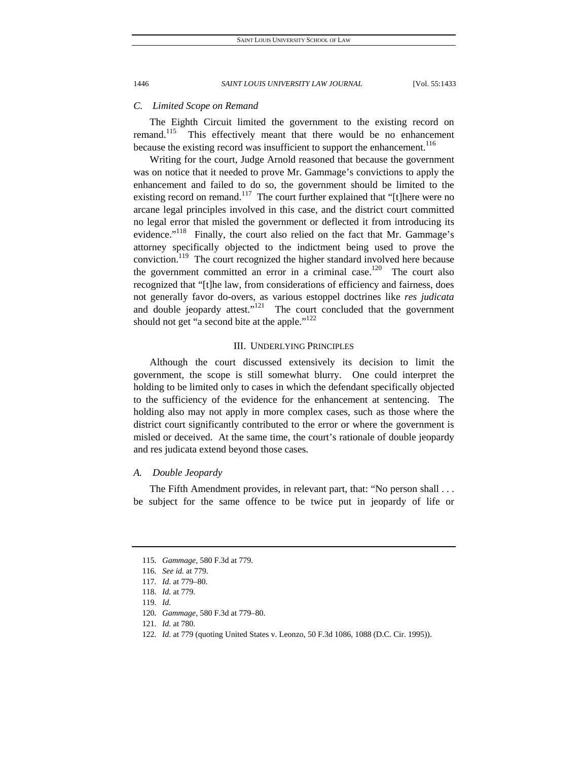## *C. Limited Scope on Remand*

The Eighth Circuit limited the government to the existing record on remand.<sup>115</sup> This effectively meant that there would be no enhancement This effectively meant that there would be no enhancement because the existing record was insufficient to support the enhancement.<sup>116</sup>

Writing for the court, Judge Arnold reasoned that because the government was on notice that it needed to prove Mr. Gammage's convictions to apply the enhancement and failed to do so, the government should be limited to the existing record on remand.<sup>117</sup> The court further explained that "[t]here were no arcane legal principles involved in this case, and the district court committed no legal error that misled the government or deflected it from introducing its evidence."<sup>118</sup> Finally, the court also relied on the fact that Mr. Gammage's attorney specifically objected to the indictment being used to prove the conviction.<sup>119</sup> The court recognized the higher standard involved here because the government committed an error in a criminal case.<sup>120</sup> The court also recognized that "[t]he law, from considerations of efficiency and fairness, does not generally favor do-overs, as various estoppel doctrines like *res judicata* and double jeopardy attest."<sup>121</sup> The court concluded that the government should not get "a second bite at the apple."<sup>122</sup>

## III. UNDERLYING PRINCIPLES

Although the court discussed extensively its decision to limit the government, the scope is still somewhat blurry. One could interpret the holding to be limited only to cases in which the defendant specifically objected to the sufficiency of the evidence for the enhancement at sentencing. The holding also may not apply in more complex cases, such as those where the district court significantly contributed to the error or where the government is misled or deceived. At the same time, the court's rationale of double jeopardy and res judicata extend beyond those cases.

## *A. Double Jeopardy*

The Fifth Amendment provides, in relevant part, that: "No person shall . . . be subject for the same offence to be twice put in jeopardy of life or

<sup>115</sup>*. Gammage*, 580 F.3d at 779.

<sup>116</sup>*. See id.* at 779.

<sup>117</sup>*. Id.* at 779–80.

<sup>118</sup>*. Id.* at 779.

<sup>119</sup>*. Id.*

<sup>120</sup>*. Gammage*, 580 F.3d at 779–80.

<sup>121</sup>*. Id.* at 780.

<sup>122</sup>*. Id.* at 779 (quoting United States v. Leonzo, 50 F.3d 1086, 1088 (D.C. Cir. 1995)).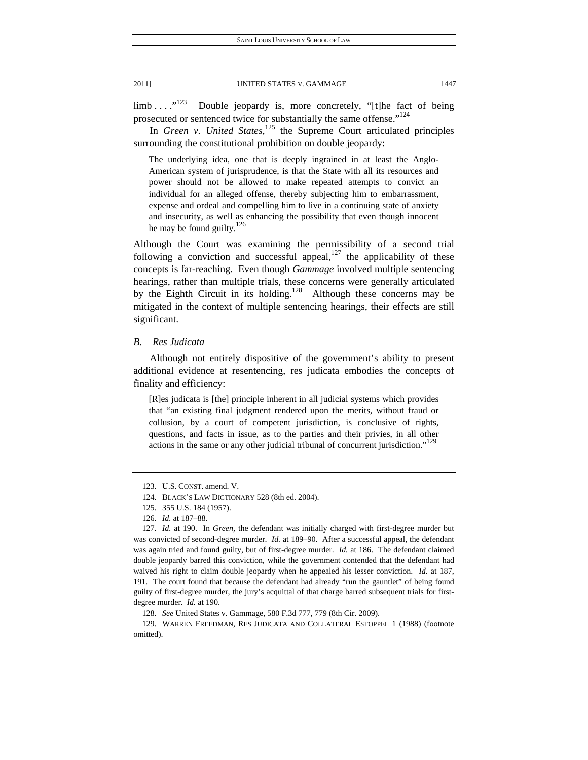$\lim_{h \to 0}$  ....<sup>"123</sup> Double jeopardy is, more concretely, "[t]he fact of being prosecuted or sentenced twice for substantially the same offense."<sup>124</sup>

In *Green v. United States*, 125 the Supreme Court articulated principles surrounding the constitutional prohibition on double jeopardy:

The underlying idea, one that is deeply ingrained in at least the Anglo-American system of jurisprudence, is that the State with all its resources and power should not be allowed to make repeated attempts to convict an individual for an alleged offense, thereby subjecting him to embarrassment, expense and ordeal and compelling him to live in a continuing state of anxiety and insecurity, as well as enhancing the possibility that even though innocent he may be found guilty.<sup>126</sup>

Although the Court was examining the permissibility of a second trial following a conviction and successful appeal, $127$  the applicability of these concepts is far-reaching. Even though *Gammage* involved multiple sentencing hearings, rather than multiple trials, these concerns were generally articulated by the Eighth Circuit in its holding.<sup>128</sup> Although these concerns may be mitigated in the context of multiple sentencing hearings, their effects are still significant.

## *B. Res Judicata*

Although not entirely dispositive of the government's ability to present additional evidence at resentencing, res judicata embodies the concepts of finality and efficiency:

[R]es judicata is [the] principle inherent in all judicial systems which provides that "an existing final judgment rendered upon the merits, without fraud or collusion, by a court of competent jurisdiction, is conclusive of rights, questions, and facts in issue, as to the parties and their privies, in all other actions in the same or any other judicial tribunal of concurrent jurisdiction."<sup>129</sup>

 129. WARREN FREEDMAN, RES JUDICATA AND COLLATERAL ESTOPPEL 1 (1988) (footnote omitted).

 <sup>123.</sup> U.S. CONST. amend. V.

 <sup>124.</sup> BLACK'S LAW DICTIONARY 528 (8th ed. 2004).

 <sup>125. 355</sup> U.S. 184 (1957).

<sup>126</sup>*. Id.* at 187–88.

<sup>127</sup>*. Id.* at 190. In *Green*, the defendant was initially charged with first-degree murder but was convicted of second-degree murder. *Id.* at 189–90. After a successful appeal, the defendant was again tried and found guilty, but of first-degree murder. *Id.* at 186. The defendant claimed double jeopardy barred this conviction, while the government contended that the defendant had waived his right to claim double jeopardy when he appealed his lesser conviction. *Id.* at 187, 191. The court found that because the defendant had already "run the gauntlet" of being found guilty of first-degree murder, the jury's acquittal of that charge barred subsequent trials for firstdegree murder. *Id.* at 190.

<sup>128</sup>*. See* United States v. Gammage, 580 F.3d 777, 779 (8th Cir. 2009).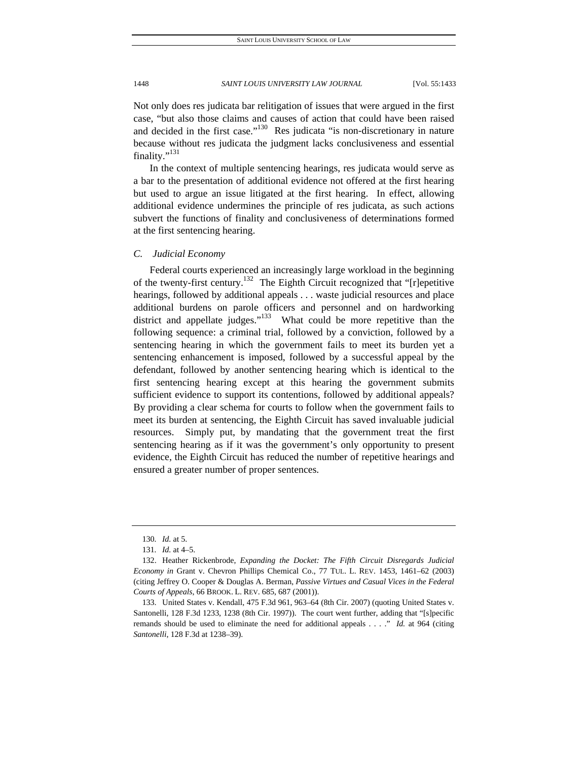Not only does res judicata bar relitigation of issues that were argued in the first case, "but also those claims and causes of action that could have been raised and decided in the first case."<sup>130</sup> Res judicata "is non-discretionary in nature because without res judicata the judgment lacks conclusiveness and essential finality."<sup>131</sup>

In the context of multiple sentencing hearings, res judicata would serve as a bar to the presentation of additional evidence not offered at the first hearing but used to argue an issue litigated at the first hearing. In effect, allowing additional evidence undermines the principle of res judicata, as such actions subvert the functions of finality and conclusiveness of determinations formed at the first sentencing hearing.

## *C. Judicial Economy*

Federal courts experienced an increasingly large workload in the beginning of the twenty-first century.<sup>132</sup> The Eighth Circuit recognized that "[r]epetitive hearings, followed by additional appeals . . . waste judicial resources and place additional burdens on parole officers and personnel and on hardworking district and appellate judges."<sup>133</sup> What could be more repetitive than the following sequence: a criminal trial, followed by a conviction, followed by a sentencing hearing in which the government fails to meet its burden yet a sentencing enhancement is imposed, followed by a successful appeal by the defendant, followed by another sentencing hearing which is identical to the first sentencing hearing except at this hearing the government submits sufficient evidence to support its contentions, followed by additional appeals? By providing a clear schema for courts to follow when the government fails to meet its burden at sentencing, the Eighth Circuit has saved invaluable judicial resources. Simply put, by mandating that the government treat the first sentencing hearing as if it was the government's only opportunity to present evidence, the Eighth Circuit has reduced the number of repetitive hearings and ensured a greater number of proper sentences.

<sup>130</sup>*. Id.* at 5.

<sup>131</sup>*. Id.* at 4–5.

 <sup>132.</sup> Heather Rickenbrode, *Expanding the Docket: The Fifth Circuit Disregards Judicial Economy in* Grant v. Chevron Phillips Chemical Co., 77 TUL. L. REV. 1453, 1461–62 (2003) (citing Jeffrey O. Cooper & Douglas A. Berman, *Passive Virtues and Casual Vices in the Federal Courts of Appeals*, 66 BROOK. L. REV. 685, 687 (2001)).

 <sup>133.</sup> United States v. Kendall, 475 F.3d 961, 963–64 (8th Cir. 2007) (quoting United States v. Santonelli, 128 F.3d 1233, 1238 (8th Cir. 1997)). The court went further, adding that "[s]pecific remands should be used to eliminate the need for additional appeals . . . ." *Id.* at 964 (citing *Santonelli*, 128 F.3d at 1238–39).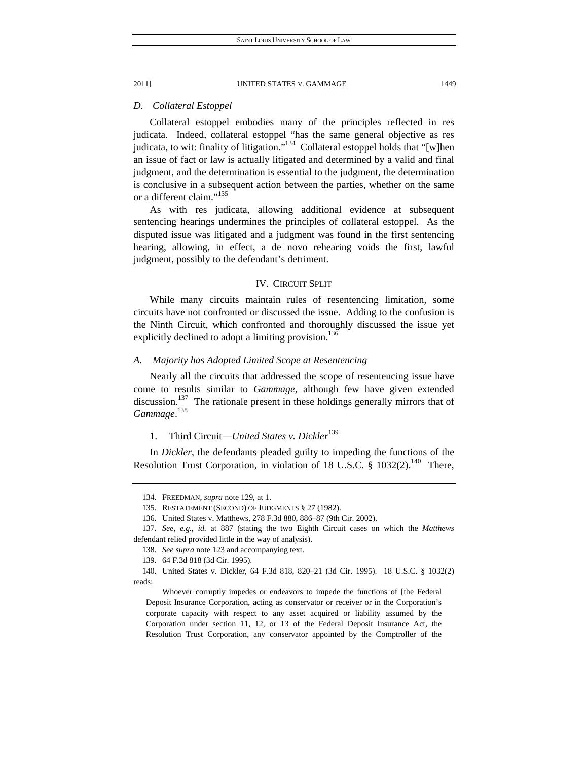## *D. Collateral Estoppel*

Collateral estoppel embodies many of the principles reflected in res judicata. Indeed, collateral estoppel "has the same general objective as res judicata, to wit: finality of litigation."<sup>134</sup> Collateral estoppel holds that "[w]hen an issue of fact or law is actually litigated and determined by a valid and final judgment, and the determination is essential to the judgment, the determination is conclusive in a subsequent action between the parties, whether on the same or a different claim."<sup>135</sup>

As with res judicata, allowing additional evidence at subsequent sentencing hearings undermines the principles of collateral estoppel. As the disputed issue was litigated and a judgment was found in the first sentencing hearing, allowing, in effect, a de novo rehearing voids the first, lawful judgment, possibly to the defendant's detriment.

## IV. CIRCUIT SPLIT

While many circuits maintain rules of resentencing limitation, some circuits have not confronted or discussed the issue. Adding to the confusion is the Ninth Circuit, which confronted and thoroughly discussed the issue yet explicitly declined to adopt a limiting provision.<sup>136</sup>

## *A. Majority has Adopted Limited Scope at Resentencing*

Nearly all the circuits that addressed the scope of resentencing issue have come to results similar to *Gammage*, although few have given extended discussion.<sup>137</sup> The rationale present in these holdings generally mirrors that of *Gammage*. 138

## 1. Third Circuit—*United States v. Dickler*<sup>139</sup>

In *Dickler*, the defendants pleaded guilty to impeding the functions of the Resolution Trust Corporation, in violation of 18 U.S.C.  $\S$  1032(2).<sup>140</sup> There,

 Whoever corruptly impedes or endeavors to impede the functions of [the Federal Deposit Insurance Corporation, acting as conservator or receiver or in the Corporation's corporate capacity with respect to any asset acquired or liability assumed by the Corporation under section 11, 12, or 13 of the Federal Deposit Insurance Act, the Resolution Trust Corporation, any conservator appointed by the Comptroller of the

 <sup>134.</sup> FREEDMAN, *supra* note 129, at 1.

 <sup>135.</sup> RESTATEMENT (SECOND) OF JUDGMENTS § 27 (1982).

 <sup>136.</sup> United States v. Matthews, 278 F.3d 880, 886–87 (9th Cir. 2002).

<sup>137</sup>*. See, e.g.*, *id.* at 887 (stating the two Eighth Circuit cases on which the *Matthews*  defendant relied provided little in the way of analysis).

<sup>138</sup>*. See supra* note 123 and accompanying text.

 <sup>139. 64</sup> F.3d 818 (3d Cir. 1995).

 <sup>140.</sup> United States v. Dickler, 64 F.3d 818, 820–21 (3d Cir. 1995). 18 U.S.C. § 1032(2) reads: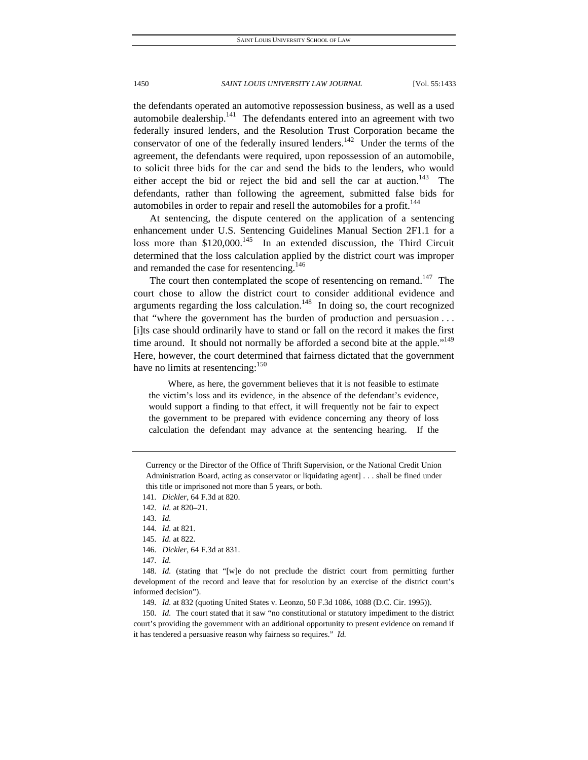the defendants operated an automotive repossession business, as well as a used automobile dealership. $^{141}$  The defendants entered into an agreement with two federally insured lenders, and the Resolution Trust Corporation became the conservator of one of the federally insured lenders.<sup>142</sup> Under the terms of the agreement, the defendants were required, upon repossession of an automobile, to solicit three bids for the car and send the bids to the lenders, who would either accept the bid or reject the bid and sell the car at auction.<sup>143</sup> defendants, rather than following the agreement, submitted false bids for automobiles in order to repair and resell the automobiles for a profit.<sup>144</sup>

At sentencing, the dispute centered on the application of a sentencing enhancement under U.S. Sentencing Guidelines Manual Section 2F1.1 for a loss more than  $$120,000$ .<sup>145</sup> In an extended discussion, the Third Circuit determined that the loss calculation applied by the district court was improper and remanded the case for resentencing.<sup>146</sup>

The court then contemplated the scope of resentencing on remand.<sup>147</sup> The court chose to allow the district court to consider additional evidence and arguments regarding the loss calculation.<sup>148</sup> In doing so, the court recognized that "where the government has the burden of production and persuasion . . . [i]ts case should ordinarily have to stand or fall on the record it makes the first time around. It should not normally be afforded a second bite at the apple."<sup>149</sup> Here, however, the court determined that fairness dictated that the government have no limits at resentencing:  $150$ 

Where, as here, the government believes that it is not feasible to estimate the victim's loss and its evidence, in the absence of the defendant's evidence, would support a finding to that effect, it will frequently not be fair to expect the government to be prepared with evidence concerning any theory of loss calculation the defendant may advance at the sentencing hearing. If the

149*. Id.* at 832 (quoting United States v. Leonzo, 50 F.3d 1086, 1088 (D.C. Cir. 1995)).

150*. Id.* The court stated that it saw "no constitutional or statutory impediment to the district court's providing the government with an additional opportunity to present evidence on remand if it has tendered a persuasive reason why fairness so requires." *Id.* 

Currency or the Director of the Office of Thrift Supervision, or the National Credit Union Administration Board, acting as conservator or liquidating agent] . . . shall be fined under this title or imprisoned not more than 5 years, or both.

<sup>141</sup>*. Dickler*, 64 F.3d at 820.

<sup>142</sup>*. Id.* at 820–21.

<sup>143</sup>*. Id.*

<sup>144</sup>*. Id.* at 821.

<sup>145</sup>*. Id.* at 822.

<sup>146</sup>*. Dickler*, 64 F.3d at 831.

<sup>147</sup>*. Id.*

<sup>148</sup>*. Id.* (stating that "[w]e do not preclude the district court from permitting further development of the record and leave that for resolution by an exercise of the district court's informed decision").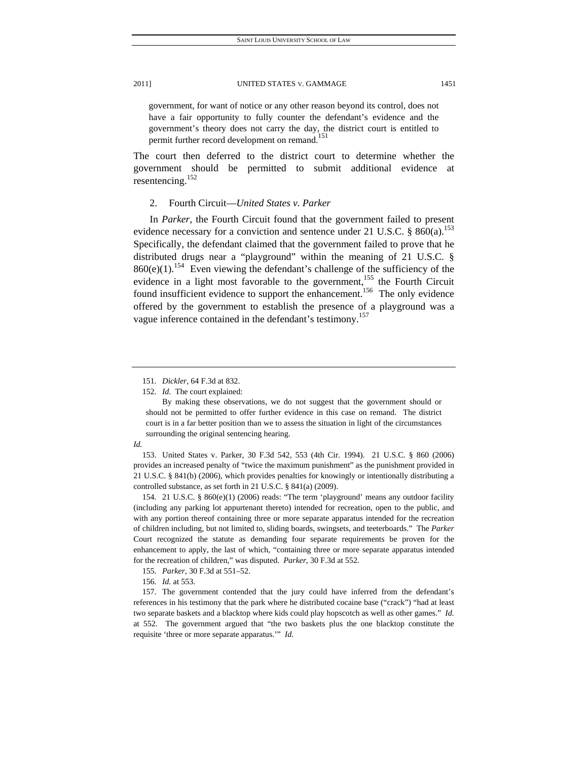government, for want of notice or any other reason beyond its control, does not have a fair opportunity to fully counter the defendant's evidence and the government's theory does not carry the day, the district court is entitled to permit further record development on remand.<sup>151</sup>

The court then deferred to the district court to determine whether the government should be permitted to submit additional evidence at resentencing.<sup>152</sup>

## 2. Fourth Circuit—*United States v. Parker*

In *Parker*, the Fourth Circuit found that the government failed to present evidence necessary for a conviction and sentence under 21 U.S.C.  $\S$  860(a).<sup>153</sup> Specifically, the defendant claimed that the government failed to prove that he distributed drugs near a "playground" within the meaning of 21 U.S.C. §  $860(e)(1)$ .<sup>154</sup> Even viewing the defendant's challenge of the sufficiency of the evidence in a light most favorable to the government,<sup>155</sup> the Fourth Circuit found insufficient evidence to support the enhancement.<sup>156</sup> The only evidence offered by the government to establish the presence of a playground was a vague inference contained in the defendant's testimony.<sup>157</sup>

<sup>151</sup>*. Dickler*, 64 F.3d at 832.

<sup>152</sup>*. Id.* The court explained:

By making these observations, we do not suggest that the government should or should not be permitted to offer further evidence in this case on remand. The district court is in a far better position than we to assess the situation in light of the circumstances surrounding the original sentencing hearing.

*Id.* 

 <sup>153.</sup> United States v. Parker, 30 F.3d 542, 553 (4th Cir. 1994). 21 U.S.C. § 860 (2006) provides an increased penalty of "twice the maximum punishment" as the punishment provided in 21 U.S.C. § 841(b) (2006), which provides penalties for knowingly or intentionally distributing a controlled substance, as set forth in 21 U.S.C. § 841(a) (2009).

 <sup>154. 21</sup> U.S.C. § 860(e)(1) (2006) reads: "The term 'playground' means any outdoor facility (including any parking lot appurtenant thereto) intended for recreation, open to the public, and with any portion thereof containing three or more separate apparatus intended for the recreation of children including, but not limited to, sliding boards, swingsets, and teeterboards." The *Parker* Court recognized the statute as demanding four separate requirements be proven for the enhancement to apply, the last of which, "containing three or more separate apparatus intended for the recreation of children," was disputed. *Parker*, 30 F.3d at 552.

<sup>155</sup>*. Parker*, 30 F.3d at 551–52.

<sup>156</sup>*. Id.* at 553.

 <sup>157.</sup> The government contended that the jury could have inferred from the defendant's references in his testimony that the park where he distributed cocaine base ("crack") "had at least two separate baskets and a blacktop where kids could play hopscotch as well as other games." *Id.* at 552. The government argued that "the two baskets plus the one blacktop constitute the requisite 'three or more separate apparatus.'" *Id.*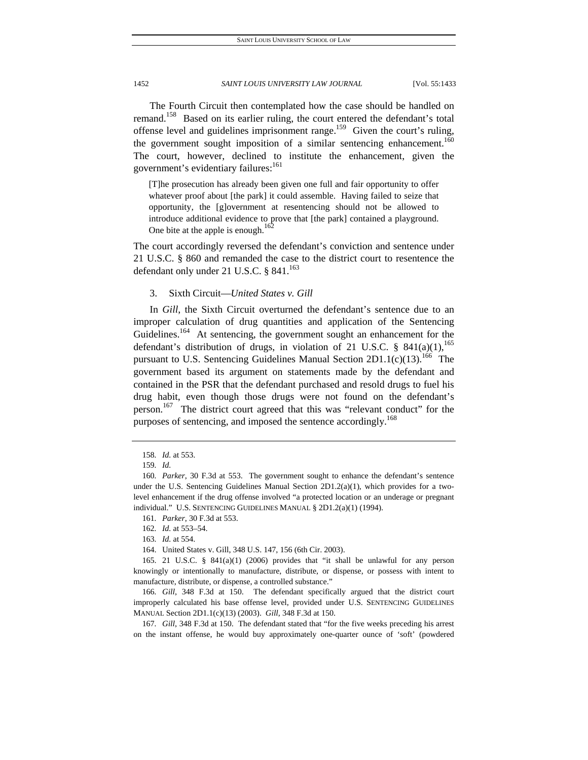The Fourth Circuit then contemplated how the case should be handled on remand.<sup>158</sup> Based on its earlier ruling, the court entered the defendant's total offense level and guidelines imprisonment range.<sup>159</sup> Given the court's ruling, the government sought imposition of a similar sentencing enhancement.<sup>160</sup> The court, however, declined to institute the enhancement, given the government's evidentiary failures:<sup>161</sup>

[T]he prosecution has already been given one full and fair opportunity to offer whatever proof about [the park] it could assemble. Having failed to seize that opportunity, the [g]overnment at resentencing should not be allowed to introduce additional evidence to prove that [the park] contained a playground. One bite at the apple is enough.

The court accordingly reversed the defendant's conviction and sentence under 21 U.S.C. § 860 and remanded the case to the district court to resentence the defendant only under 21 U.S.C.  $§$  841.<sup>163</sup>

## 3. Sixth Circuit—*United States v. Gill*

In *Gill*, the Sixth Circuit overturned the defendant's sentence due to an improper calculation of drug quantities and application of the Sentencing Guidelines.<sup>164</sup> At sentencing, the government sought an enhancement for the defendant's distribution of drugs, in violation of 21 U.S.C. §  $841(a)(1)$ ,<sup>165</sup> pursuant to U.S. Sentencing Guidelines Manual Section  $2D1.1(c)(13).^{166}$  The government based its argument on statements made by the defendant and contained in the PSR that the defendant purchased and resold drugs to fuel his drug habit, even though those drugs were not found on the defendant's person.<sup>167</sup> The district court agreed that this was "relevant conduct" for the purposes of sentencing, and imposed the sentence accordingly.<sup>168</sup>

164. United States v. Gill, 348 U.S. 147, 156 (6th Cir. 2003).

166*. Gill*, 348 F.3d at 150. The defendant specifically argued that the district court improperly calculated his base offense level, provided under U.S. SENTENCING GUIDELINES MANUAL Section 2D1.1(c)(13) (2003). *Gill*, 348 F.3d at 150.

167*. Gill*, 348 F.3d at 150. The defendant stated that "for the five weeks preceding his arrest on the instant offense, he would buy approximately one-quarter ounce of 'soft' (powdered

<sup>158</sup>*. Id.* at 553.

<sup>159</sup>*. Id.*

<sup>160</sup>*. Parker*, 30 F.3d at 553. The government sought to enhance the defendant's sentence under the U.S. Sentencing Guidelines Manual Section  $2D1.2(a)(1)$ , which provides for a twolevel enhancement if the drug offense involved "a protected location or an underage or pregnant individual." U.S. SENTENCING GUIDELINES MANUAL § 2D1.2(a)(1) (1994).

<sup>161</sup>*. Parker*, 30 F.3d at 553.

<sup>162</sup>*. Id.* at 553–54.

<sup>163</sup>*. Id.* at 554.

<sup>165. 21</sup> U.S.C. §  $841(a)(1)$  (2006) provides that "it shall be unlawful for any person knowingly or intentionally to manufacture, distribute, or dispense, or possess with intent to manufacture, distribute, or dispense, a controlled substance."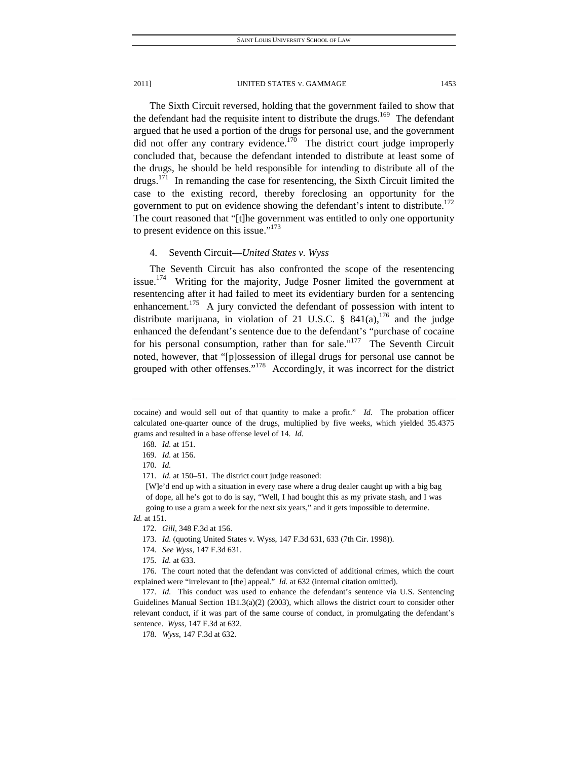The Sixth Circuit reversed, holding that the government failed to show that the defendant had the requisite intent to distribute the drugs.<sup>169</sup> The defendant argued that he used a portion of the drugs for personal use, and the government did not offer any contrary evidence.<sup>170</sup> The district court judge improperly concluded that, because the defendant intended to distribute at least some of the drugs, he should be held responsible for intending to distribute all of the  $drugs.$ <sup>171</sup> In remanding the case for resentencing, the Sixth Circuit limited the case to the existing record, thereby foreclosing an opportunity for the government to put on evidence showing the defendant's intent to distribute.<sup>172</sup> The court reasoned that "[t]he government was entitled to only one opportunity to present evidence on this issue." $173$ 

## 4. Seventh Circuit—*United States v. Wyss*

The Seventh Circuit has also confronted the scope of the resentencing issue.<sup>174</sup> Writing for the majority, Judge Posner limited the government at resentencing after it had failed to meet its evidentiary burden for a sentencing enhancement.<sup>175</sup> A jury convicted the defendant of possession with intent to distribute marijuana, in violation of 21 U.S.C. §  $841(a)$ ,  $176$  and the judge enhanced the defendant's sentence due to the defendant's "purchase of cocaine for his personal consumption, rather than for sale."<sup>177</sup> The Seventh Circuit noted, however, that "[p]ossession of illegal drugs for personal use cannot be grouped with other offenses."<sup>178</sup> Accordingly, it was incorrect for the district

171*. Id.* at 150–51. The district court judge reasoned:

[W]e'd end up with a situation in every case where a drug dealer caught up with a big bag of dope, all he's got to do is say, "Well, I had bought this as my private stash, and I was going to use a gram a week for the next six years," and it gets impossible to determine.

*Id.* at 151.

cocaine) and would sell out of that quantity to make a profit." *Id.* The probation officer calculated one-quarter ounce of the drugs, multiplied by five weeks, which yielded 35.4375 grams and resulted in a base offense level of 14. *Id.*

<sup>168</sup>*. Id.* at 151.

<sup>169</sup>*. Id.* at 156.

<sup>170</sup>*. Id.*

<sup>172</sup>*. Gill*, 348 F.3d at 156.

<sup>173</sup>*. Id.* (quoting United States v. Wyss, 147 F.3d 631, 633 (7th Cir. 1998)).

<sup>174</sup>*. See Wyss*, 147 F.3d 631.

<sup>175</sup>*. Id.* at 633.

 <sup>176.</sup> The court noted that the defendant was convicted of additional crimes, which the court explained were "irrelevant to [the] appeal." *Id.* at 632 (internal citation omitted).

<sup>177</sup>*. Id.* This conduct was used to enhance the defendant's sentence via U.S. Sentencing Guidelines Manual Section 1B1.3(a)(2) (2003), which allows the district court to consider other relevant conduct, if it was part of the same course of conduct, in promulgating the defendant's sentence. *Wyss*, 147 F.3d at 632.

<sup>178</sup>*. Wyss*, 147 F.3d at 632.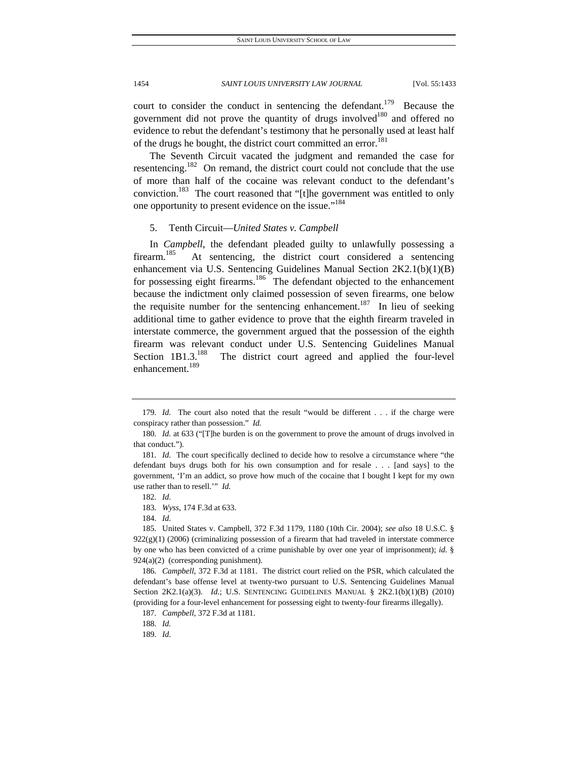court to consider the conduct in sentencing the defendant.<sup>179</sup> Because the government did not prove the quantity of drugs involved<sup>180</sup> and offered no evidence to rebut the defendant's testimony that he personally used at least half of the drugs he bought, the district court committed an error.<sup>181</sup>

The Seventh Circuit vacated the judgment and remanded the case for resentencing.<sup>182</sup> On remand, the district court could not conclude that the use of more than half of the cocaine was relevant conduct to the defendant's conviction.<sup>183</sup> The court reasoned that "[t]he government was entitled to only one opportunity to present evidence on the issue."184

## 5. Tenth Circuit—*United States v. Campbell*

In *Campbell*, the defendant pleaded guilty to unlawfully possessing a firearm.<sup>185</sup> At sentencing, the district court considered a sentencing enhancement via U.S. Sentencing Guidelines Manual Section 2K2.1(b)(1)(B) for possessing eight firearms.<sup>186</sup> The defendant objected to the enhancement because the indictment only claimed possession of seven firearms, one below the requisite number for the sentencing enhancement.<sup>187</sup> In lieu of seeking additional time to gather evidence to prove that the eighth firearm traveled in interstate commerce, the government argued that the possession of the eighth firearm was relevant conduct under U.S. Sentencing Guidelines Manual Section  $1B1.3$ <sup>188</sup> The district court agreed and applied the four-level enhancement.<sup>189</sup>

<sup>179</sup>*. Id.* The court also noted that the result "would be different . . . if the charge were conspiracy rather than possession." *Id.*

<sup>180</sup>*. Id.* at 633 ("[T]he burden is on the government to prove the amount of drugs involved in that conduct.").

<sup>181</sup>*. Id.* The court specifically declined to decide how to resolve a circumstance where "the defendant buys drugs both for his own consumption and for resale . . . [and says] to the government, 'I'm an addict, so prove how much of the cocaine that I bought I kept for my own use rather than to resell.'" *Id.*

<sup>182</sup>*. Id.*

<sup>183</sup>*. Wyss*, 174 F.3d at 633.

<sup>184</sup>*. Id.*

 <sup>185.</sup> United States v. Campbell, 372 F.3d 1179, 1180 (10th Cir. 2004); *see also* 18 U.S.C. §  $922(g)(1)$  (2006) (criminalizing possession of a firearm that had traveled in interstate commerce by one who has been convicted of a crime punishable by over one year of imprisonment); *id.* § 924(a)(2) (corresponding punishment).

<sup>186</sup>*. Campbell*, 372 F.3d at 1181. The district court relied on the PSR, which calculated the defendant's base offense level at twenty-two pursuant to U.S. Sentencing Guidelines Manual Section 2K2.1(a)(3). *Id.*; U.S. SENTENCING GUIDELINES MANUAL § 2K2.1(b)(1)(B) (2010) (providing for a four-level enhancement for possessing eight to twenty-four firearms illegally).

<sup>187</sup>*. Campbell*, 372 F.3d at 1181.

<sup>188</sup>*. Id.*

<sup>189</sup>*. Id.*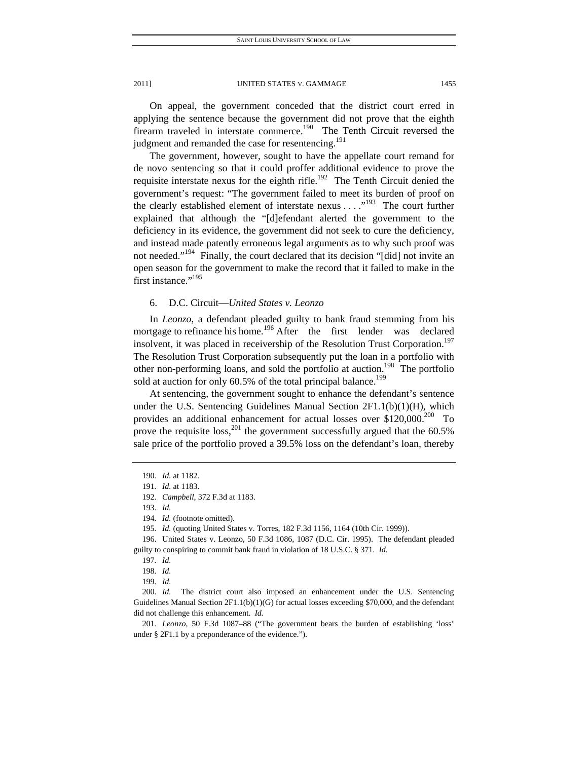On appeal, the government conceded that the district court erred in applying the sentence because the government did not prove that the eighth firearm traveled in interstate commerce.<sup>190</sup> The Tenth Circuit reversed the judgment and remanded the case for resentencing.<sup>191</sup>

The government, however, sought to have the appellate court remand for de novo sentencing so that it could proffer additional evidence to prove the requisite interstate nexus for the eighth rifle.<sup>192</sup> The Tenth Circuit denied the government's request: "The government failed to meet its burden of proof on the clearly established element of interstate nexus  $\dots$ <sup>193</sup> The court further explained that although the "[d]efendant alerted the government to the deficiency in its evidence, the government did not seek to cure the deficiency, and instead made patently erroneous legal arguments as to why such proof was not needed."<sup>194</sup> Finally, the court declared that its decision "[did] not invite an open season for the government to make the record that it failed to make in the first instance."<sup>195</sup>

## 6. D.C. Circuit—*United States v. Leonzo*

In *Leonzo*, a defendant pleaded guilty to bank fraud stemming from his mortgage to refinance his home.<sup>196</sup> After the first lender was declared insolvent, it was placed in receivership of the Resolution Trust Corporation.<sup>197</sup> The Resolution Trust Corporation subsequently put the loan in a portfolio with other non-performing loans, and sold the portfolio at auction.<sup>198</sup> The portfolio sold at auction for only  $60.5\%$  of the total principal balance.<sup>199</sup>

At sentencing, the government sought to enhance the defendant's sentence under the U.S. Sentencing Guidelines Manual Section 2F1.1(b)(1)(H), which provides an additional enhancement for actual losses over  $$120,000.<sup>200</sup>$  To prove the requisite  $loss$ ,<sup>201</sup>, the government successfully argued that the  $60.5\%$ sale price of the portfolio proved a 39.5% loss on the defendant's loan, thereby

195*. Id.* (quoting United States v. Torres, 182 F.3d 1156, 1164 (10th Cir. 1999)).

201*. Leonzo*, 50 F.3d 1087–88 ("The government bears the burden of establishing 'loss' under § 2F1.1 by a preponderance of the evidence.").

<sup>190</sup>*. Id.* at 1182.

<sup>191</sup>*. Id.* at 1183.

<sup>192</sup>*. Campbell*, 372 F.3d at 1183.

<sup>193</sup>*. Id.*

<sup>194</sup>*. Id.* (footnote omitted).

 <sup>196.</sup> United States v. Leonzo, 50 F.3d 1086, 1087 (D.C. Cir. 1995). The defendant pleaded guilty to conspiring to commit bank fraud in violation of 18 U.S.C. § 371. *Id.*

<sup>197</sup>*. Id.*

<sup>198</sup>*. Id.*

<sup>199</sup>*. Id.*

<sup>200</sup>*. Id.* The district court also imposed an enhancement under the U.S. Sentencing Guidelines Manual Section 2F1.1(b)(1)(G) for actual losses exceeding \$70,000, and the defendant did not challenge this enhancement. *Id.*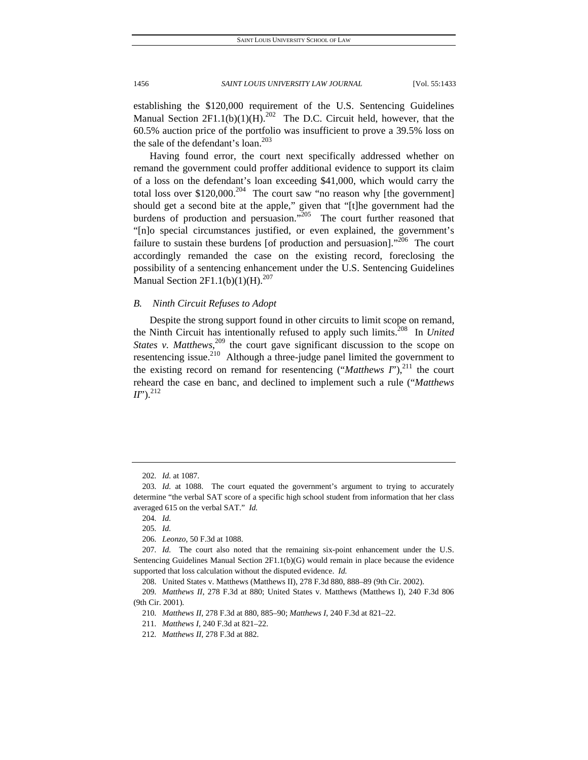establishing the \$120,000 requirement of the U.S. Sentencing Guidelines Manual Section  $2F1.1(b)(1)(H).^{202}$  The D.C. Circuit held, however, that the 60.5% auction price of the portfolio was insufficient to prove a 39.5% loss on the sale of the defendant's loan.<sup>203</sup>

Having found error, the court next specifically addressed whether on remand the government could proffer additional evidence to support its claim of a loss on the defendant's loan exceeding \$41,000, which would carry the total loss over  $$120,000.<sup>204</sup>$  The court saw "no reason why [the government] should get a second bite at the apple," given that "[t]he government had the burdens of production and persuasion."<sup>205</sup> The court further reasoned that "[n]o special circumstances justified, or even explained, the government's failure to sustain these burdens [of production and persuasion]."<sup>206</sup> The court accordingly remanded the case on the existing record, foreclosing the possibility of a sentencing enhancement under the U.S. Sentencing Guidelines Manual Section  $2F1.1(b)(1)(H).^{207}$ 

## *B. Ninth Circuit Refuses to Adopt*

Despite the strong support found in other circuits to limit scope on remand, the Ninth Circuit has intentionally refused to apply such limits.<sup>208</sup> In *United States v. Matthews*<sup>209</sup> the court gave significant discussion to the scope on resentencing issue.<sup>210</sup> Although a three-judge panel limited the government to the existing record on remand for resentencing (" $Mathews$   $I$ "),<sup>211</sup> the court reheard the case en banc, and declined to implement such a rule ("*Matthews <sup>212</sup>* 

<sup>202</sup>*. Id.* at 1087.

<sup>203</sup>*. Id.* at 1088. The court equated the government's argument to trying to accurately determine "the verbal SAT score of a specific high school student from information that her class averaged 615 on the verbal SAT." *Id.*

<sup>204</sup>*. Id.*

<sup>205</sup>*. Id.*

<sup>206</sup>*. Leonzo*, 50 F.3d at 1088.

<sup>207</sup>*. Id.* The court also noted that the remaining six-point enhancement under the U.S. Sentencing Guidelines Manual Section 2F1.1(b)(G) would remain in place because the evidence supported that loss calculation without the disputed evidence. *Id.*

 <sup>208.</sup> United States v. Matthews (Matthews II), 278 F.3d 880, 888–89 (9th Cir. 2002).

<sup>209</sup>*. Matthews II*, 278 F.3d at 880; United States v. Matthews (Matthews I), 240 F.3d 806 (9th Cir. 2001).

<sup>210</sup>*. Matthews II*, 278 F.3d at 880, 885–90; *Matthews I*, 240 F.3d at 821–22.

<sup>211</sup>*. Matthews I*, 240 F.3d at 821–22.

<sup>212</sup>*. Matthews II*, 278 F.3d at 882.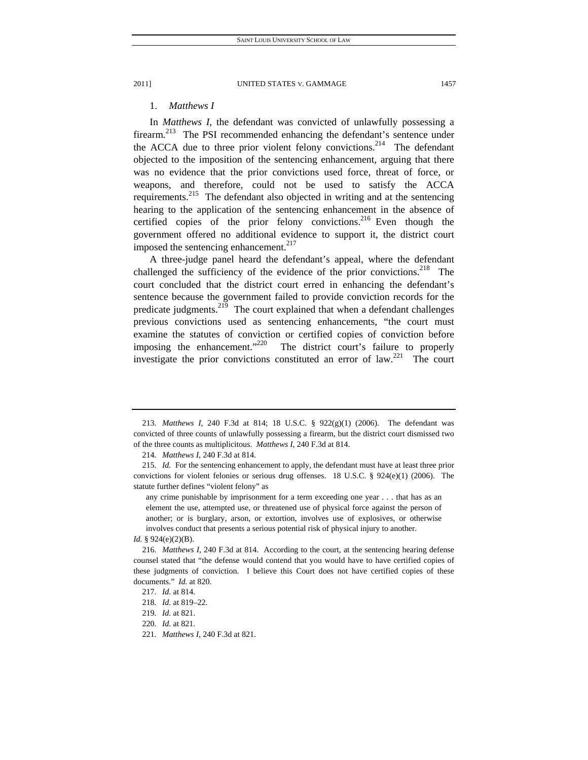## 1. *Matthews I*

In *Matthews I*, the defendant was convicted of unlawfully possessing a firearm.<sup>213</sup> The PSI recommended enhancing the defendant's sentence under the ACCA due to three prior violent felony convictions.<sup>214</sup> The defendant objected to the imposition of the sentencing enhancement, arguing that there was no evidence that the prior convictions used force, threat of force, or weapons, and therefore, could not be used to satisfy the ACCA requirements.215 The defendant also objected in writing and at the sentencing hearing to the application of the sentencing enhancement in the absence of certified copies of the prior felony convictions.<sup>216</sup> Even though the government offered no additional evidence to support it, the district court imposed the sentencing enhancement.<sup>217</sup>

A three-judge panel heard the defendant's appeal, where the defendant challenged the sufficiency of the evidence of the prior convictions.<sup>218</sup> The court concluded that the district court erred in enhancing the defendant's sentence because the government failed to provide conviction records for the predicate judgments.<sup>219</sup> The court explained that when a defendant challenges previous convictions used as sentencing enhancements, "the court must examine the statutes of conviction or certified copies of conviction before imposing the enhancement. $1220$  The district court's failure to properly investigate the prior convictions constituted an error of  $law<sup>221</sup>$ . The court

221*. Matthews I*, 240 F.3d at 821.

<sup>213</sup>*. Matthews I*, 240 F.3d at 814; 18 U.S.C. § 922(g)(1) (2006). The defendant was convicted of three counts of unlawfully possessing a firearm, but the district court dismissed two of the three counts as multiplicitous. *Matthews I*, 240 F.3d at 814.

<sup>214</sup>*. Matthews I*, 240 F.3d at 814.

<sup>215</sup>*. Id.* For the sentencing enhancement to apply, the defendant must have at least three prior convictions for violent felonies or serious drug offenses. 18 U.S.C. § 924(e)(1) (2006). The statute further defines "violent felony" as

any crime punishable by imprisonment for a term exceeding one year . . . that has as an element the use, attempted use, or threatened use of physical force against the person of another; or is burglary, arson, or extortion, involves use of explosives, or otherwise involves conduct that presents a serious potential risk of physical injury to another.

*Id.* § 924(e)(2)(B).

<sup>216</sup>*. Matthews I*, 240 F.3d at 814. According to the court, at the sentencing hearing defense counsel stated that "the defense would contend that you would have to have certified copies of these judgments of conviction. I believe this Court does not have certified copies of these documents." *Id.* at 820.

<sup>217</sup>*. Id.* at 814.

<sup>218</sup>*. Id.* at 819–22.

<sup>219</sup>*. Id.* at 821.

<sup>220</sup>*. Id.* at 821.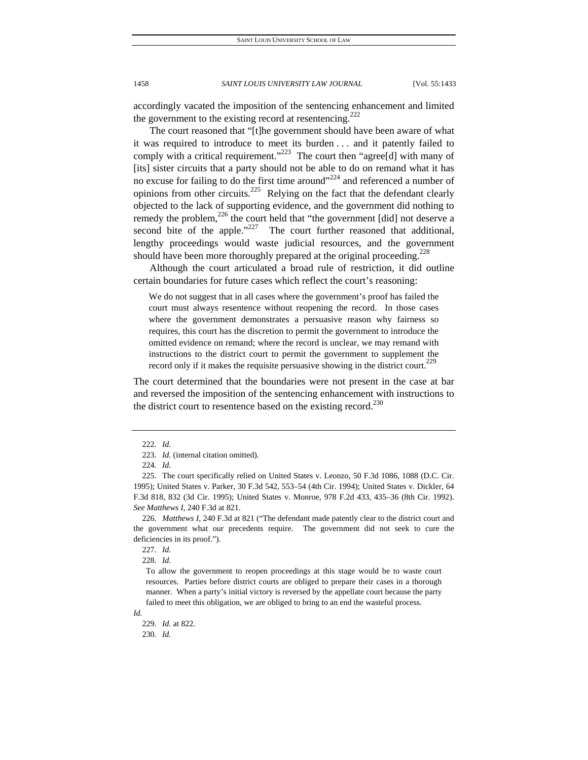accordingly vacated the imposition of the sentencing enhancement and limited the government to the existing record at resentencing.<sup>222</sup>

The court reasoned that "[t]he government should have been aware of what it was required to introduce to meet its burden . . . and it patently failed to comply with a critical requirement."<sup>223</sup> The court then "agree[d] with many of [its] sister circuits that a party should not be able to do on remand what it has no excuse for failing to do the first time around"<sup>224</sup> and referenced a number of opinions from other circuits.<sup>225</sup> Relying on the fact that the defendant clearly objected to the lack of supporting evidence, and the government did nothing to remedy the problem,<sup>226</sup> the court held that "the government [did] not deserve a second bite of the apple."<sup>227</sup> The court further reasoned that additional, lengthy proceedings would waste judicial resources, and the government should have been more thoroughly prepared at the original proceeding.<sup>228</sup>

Although the court articulated a broad rule of restriction, it did outline certain boundaries for future cases which reflect the court's reasoning:

We do not suggest that in all cases where the government's proof has failed the court must always resentence without reopening the record. In those cases where the government demonstrates a persuasive reason why fairness so requires, this court has the discretion to permit the government to introduce the omitted evidence on remand; where the record is unclear, we may remand with instructions to the district court to permit the government to supplement the record only if it makes the requisite persuasive showing in the district court.<sup>229</sup>

The court determined that the boundaries were not present in the case at bar and reversed the imposition of the sentencing enhancement with instructions to the district court to resentence based on the existing record.<sup>230</sup>

226*. Matthews I*, 240 F.3d at 821 ("The defendant made patently clear to the district court and the government what our precedents require. The government did not seek to cure the deficiencies in its proof.").

227*. Id.*

228*. Id.*

To allow the government to reopen proceedings at this stage would be to waste court resources. Parties before district courts are obliged to prepare their cases in a thorough manner. When a party's initial victory is reversed by the appellate court because the party failed to meet this obligation, we are obliged to bring to an end the wasteful process.

*Id.*

230*. Id.*

<sup>222</sup>*. Id.*

<sup>223</sup>*. Id.* (internal citation omitted).

<sup>224</sup>*. Id.*

 <sup>225.</sup> The court specifically relied on United States v. Leonzo, 50 F.3d 1086, 1088 (D.C. Cir. 1995); United States v. Parker, 30 F.3d 542, 553–54 (4th Cir. 1994); United States v. Dickler, 64 F.3d 818, 832 (3d Cir. 1995); United States v. Monroe, 978 F.2d 433, 435–36 (8th Cir. 1992). *See Matthews I*, 240 F.3d at 821.

<sup>229</sup>*. Id.* at 822.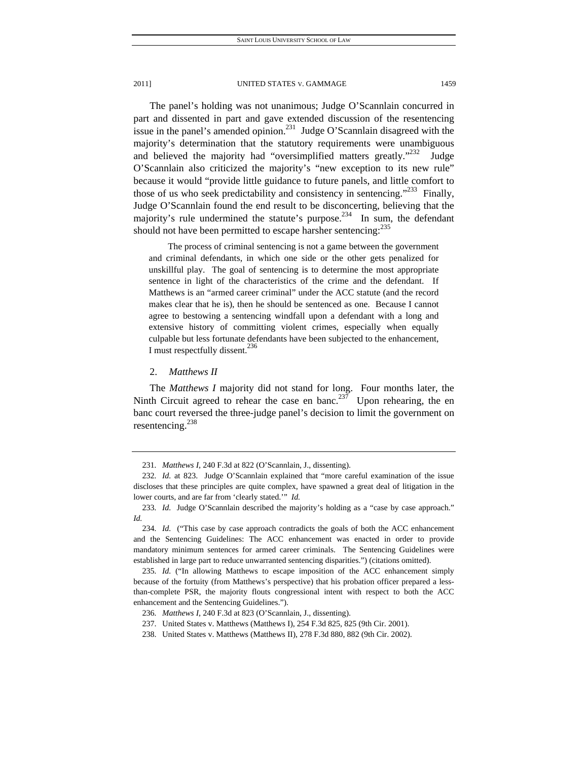The panel's holding was not unanimous; Judge O'Scannlain concurred in part and dissented in part and gave extended discussion of the resentencing issue in the panel's amended opinion.<sup>231</sup> Judge O'Scannlain disagreed with the majority's determination that the statutory requirements were unambiguous and believed the majority had "oversimplified matters greatly."<sup>232</sup> Judge O'Scannlain also criticized the majority's "new exception to its new rule" because it would "provide little guidance to future panels, and little comfort to those of us who seek predictability and consistency in sentencing."<sup>233</sup> Finally, Judge O'Scannlain found the end result to be disconcerting, believing that the majority's rule undermined the statute's purpose.<sup>234</sup> In sum, the defendant should not have been permitted to escape harsher sentencing: $^{235}$ 

The process of criminal sentencing is not a game between the government and criminal defendants, in which one side or the other gets penalized for unskillful play. The goal of sentencing is to determine the most appropriate sentence in light of the characteristics of the crime and the defendant. If Matthews is an "armed career criminal" under the ACC statute (and the record makes clear that he is), then he should be sentenced as one. Because I cannot agree to bestowing a sentencing windfall upon a defendant with a long and extensive history of committing violent crimes, especially when equally culpable but less fortunate defendants have been subjected to the enhancement, I must respectfully dissent.<sup>236</sup>

### 2. *Matthews II*

The *Matthews I* majority did not stand for long. Four months later, the Ninth Circuit agreed to rehear the case en banc.<sup>237</sup> Upon rehearing, the en banc court reversed the three-judge panel's decision to limit the government on resentencing.238

<sup>231</sup>*. Matthews I*, 240 F.3d at 822 (O'Scannlain, J., dissenting).

<sup>232</sup>*. Id.* at 823. Judge O'Scannlain explained that "more careful examination of the issue discloses that these principles are quite complex, have spawned a great deal of litigation in the lower courts, and are far from 'clearly stated.'" *Id.*

<sup>233</sup>*. Id.* Judge O'Scannlain described the majority's holding as a "case by case approach." *Id.*

<sup>234</sup>*. Id.* ("This case by case approach contradicts the goals of both the ACC enhancement and the Sentencing Guidelines: The ACC enhancement was enacted in order to provide mandatory minimum sentences for armed career criminals. The Sentencing Guidelines were established in large part to reduce unwarranted sentencing disparities.") (citations omitted).

<sup>235</sup>*. Id.* ("In allowing Matthews to escape imposition of the ACC enhancement simply because of the fortuity (from Matthews's perspective) that his probation officer prepared a lessthan-complete PSR, the majority flouts congressional intent with respect to both the ACC enhancement and the Sentencing Guidelines.").

<sup>236</sup>*. Matthews I*, 240 F.3d at 823 (O'Scannlain, J., dissenting).

 <sup>237.</sup> United States v. Matthews (Matthews I), 254 F.3d 825, 825 (9th Cir. 2001).

 <sup>238.</sup> United States v. Matthews (Matthews II), 278 F.3d 880, 882 (9th Cir. 2002).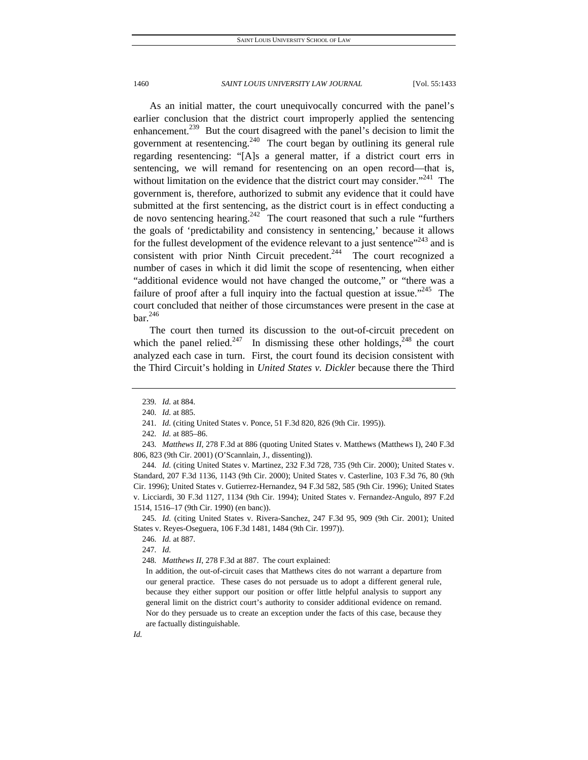As an initial matter, the court unequivocally concurred with the panel's earlier conclusion that the district court improperly applied the sentencing enhancement.<sup>239</sup> But the court disagreed with the panel's decision to limit the government at resentencing.<sup>240</sup> The court began by outlining its general rule regarding resentencing: "[A]s a general matter, if a district court errs in sentencing, we will remand for resentencing on an open record—that is, without limitation on the evidence that the district court may consider."<sup>241</sup> The government is, therefore, authorized to submit any evidence that it could have submitted at the first sentencing, as the district court is in effect conducting a de novo sentencing hearing.<sup>242</sup> The court reasoned that such a rule "furthers" the goals of 'predictability and consistency in sentencing,' because it allows for the fullest development of the evidence relevant to a just sentence<sup> $243$ </sup> and is consistent with prior Ninth Circuit precedent.<sup>244</sup> The court recognized a number of cases in which it did limit the scope of resentencing, when either "additional evidence would not have changed the outcome," or "there was a failure of proof after a full inquiry into the factual question at issue.<sup> $245$ </sup> The court concluded that neither of those circumstances were present in the case at  $bar.$ <sup>246</sup>

The court then turned its discussion to the out-of-circuit precedent on which the panel relied.<sup>247</sup> In dismissing these other holdings,<sup>248</sup> the court analyzed each case in turn. First, the court found its decision consistent with the Third Circuit's holding in *United States v. Dickler* because there the Third

244*. Id.* (citing United States v. Martinez, 232 F.3d 728, 735 (9th Cir. 2000); United States v. Standard, 207 F.3d 1136, 1143 (9th Cir. 2000); United States v. Casterline, 103 F.3d 76, 80 (9th Cir. 1996); United States v. Gutierrez-Hernandez, 94 F.3d 582, 585 (9th Cir. 1996); United States v. Licciardi, 30 F.3d 1127, 1134 (9th Cir. 1994); United States v. Fernandez-Angulo, 897 F.2d 1514, 1516–17 (9th Cir. 1990) (en banc)).

245*. Id.* (citing United States v. Rivera-Sanchez, 247 F.3d 95, 909 (9th Cir. 2001); United States v. Reyes-Oseguera, 106 F.3d 1481, 1484 (9th Cir. 1997)).

248*. Matthews II*, 278 F.3d at 887. The court explained:

<sup>239</sup>*. Id.* at 884.

<sup>240</sup>*. Id.* at 885.

<sup>241</sup>*. Id.* (citing United States v. Ponce, 51 F.3d 820, 826 (9th Cir. 1995)).

<sup>242</sup>*. Id.* at 885–86.

<sup>243</sup>*. Matthews II*, 278 F.3d at 886 (quoting United States v. Matthews (Matthews I), 240 F.3d 806, 823 (9th Cir. 2001) (O'Scannlain, J., dissenting)).

<sup>246</sup>*. Id.* at 887.

<sup>247</sup>*. Id.*

In addition, the out-of-circuit cases that Matthews cites do not warrant a departure from our general practice. These cases do not persuade us to adopt a different general rule, because they either support our position or offer little helpful analysis to support any general limit on the district court's authority to consider additional evidence on remand. Nor do they persuade us to create an exception under the facts of this case, because they are factually distinguishable.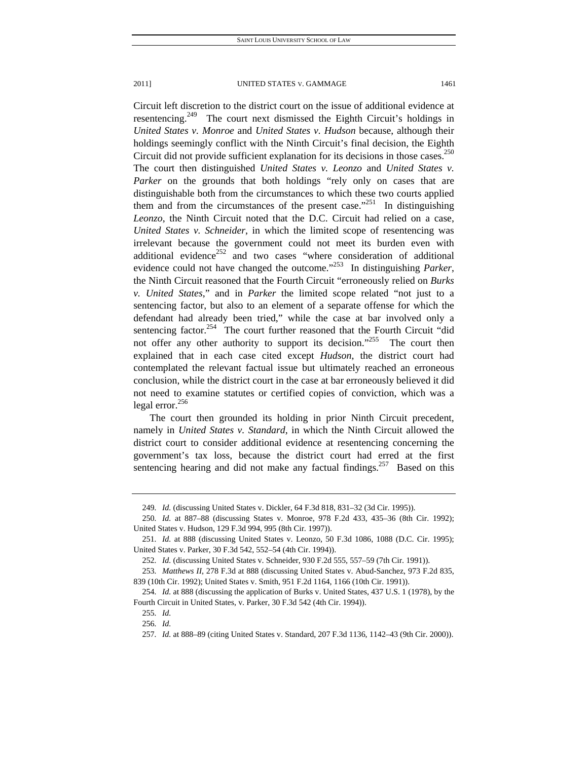Circuit left discretion to the district court on the issue of additional evidence at resentencing.<sup>249</sup> The court next dismissed the Eighth Circuit's holdings in *United States v. Monroe* and *United States v. Hudson* because, although their holdings seemingly conflict with the Ninth Circuit's final decision, the Eighth Circuit did not provide sufficient explanation for its decisions in those cases.<sup>250</sup> The court then distinguished *United States v. Leonzo* and *United States v. Parker* on the grounds that both holdings "rely only on cases that are distinguishable both from the circumstances to which these two courts applied them and from the circumstances of the present case.<sup> $251$ </sup> In distinguishing *Leonzo*, the Ninth Circuit noted that the D.C. Circuit had relied on a case, *United States v. Schneider*, in which the limited scope of resentencing was irrelevant because the government could not meet its burden even with additional evidence<sup>252</sup> and two cases "where consideration of additional evidence could not have changed the outcome."253 In distinguishing *Parker*, the Ninth Circuit reasoned that the Fourth Circuit "erroneously relied on *Burks v. United States*," and in *Parker* the limited scope related "not just to a sentencing factor, but also to an element of a separate offense for which the defendant had already been tried," while the case at bar involved only a sentencing factor.<sup>254</sup> The court further reasoned that the Fourth Circuit "did not offer any other authority to support its decision."<sup>255</sup> The court then explained that in each case cited except *Hudson*, the district court had contemplated the relevant factual issue but ultimately reached an erroneous conclusion, while the district court in the case at bar erroneously believed it did not need to examine statutes or certified copies of conviction, which was a legal error. $^{256}$ 

The court then grounded its holding in prior Ninth Circuit precedent, namely in *United States v. Standard*, in which the Ninth Circuit allowed the district court to consider additional evidence at resentencing concerning the government's tax loss, because the district court had erred at the first sentencing hearing and did not make any factual findings.<sup>257</sup> Based on this

<sup>249</sup>*. Id.* (discussing United States v. Dickler, 64 F.3d 818, 831–32 (3d Cir. 1995)).

<sup>250</sup>*. Id.* at 887–88 (discussing States v. Monroe, 978 F.2d 433, 435–36 (8th Cir. 1992); United States v. Hudson, 129 F.3d 994, 995 (8th Cir. 1997)).

<sup>251</sup>*. Id.* at 888 (discussing United States v. Leonzo, 50 F.3d 1086, 1088 (D.C. Cir. 1995); United States v. Parker, 30 F.3d 542, 552–54 (4th Cir. 1994)).

<sup>252</sup>*. Id.* (discussing United States v. Schneider, 930 F.2d 555, 557–59 (7th Cir. 1991)).

<sup>253</sup>*. Matthews II*, 278 F.3d at 888 (discussing United States v. Abud-Sanchez, 973 F.2d 835, 839 (10th Cir. 1992); United States v. Smith, 951 F.2d 1164, 1166 (10th Cir. 1991)).

<sup>254</sup>*. Id.* at 888 (discussing the application of Burks v. United States, 437 U.S. 1 (1978), by the Fourth Circuit in United States, v. Parker, 30 F.3d 542 (4th Cir. 1994)).

<sup>255</sup>*. Id.*

<sup>256</sup>*. Id.*

<sup>257</sup>*. Id.* at 888–89 (citing United States v. Standard, 207 F.3d 1136, 1142–43 (9th Cir. 2000)).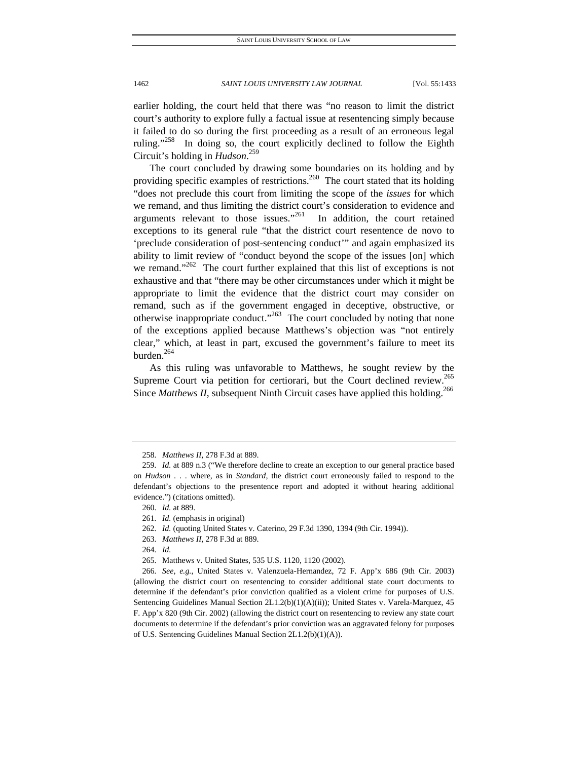earlier holding, the court held that there was "no reason to limit the district court's authority to explore fully a factual issue at resentencing simply because it failed to do so during the first proceeding as a result of an erroneous legal ruling."<sup>258</sup> In doing so, the court explicitly declined to follow the Eighth Circuit's holding in *Hudson*. 259

The court concluded by drawing some boundaries on its holding and by providing specific examples of restrictions.<sup>260</sup> The court stated that its holding "does not preclude this court from limiting the scope of the *issues* for which we remand, and thus limiting the district court's consideration to evidence and arguments relevant to those issues."<sup>261</sup> In addition, the court retained exceptions to its general rule "that the district court resentence de novo to 'preclude consideration of post-sentencing conduct'" and again emphasized its ability to limit review of "conduct beyond the scope of the issues [on] which we remand."<sup>262</sup> The court further explained that this list of exceptions is not exhaustive and that "there may be other circumstances under which it might be appropriate to limit the evidence that the district court may consider on remand, such as if the government engaged in deceptive, obstructive, or otherwise inappropriate conduct."<sup>263</sup> The court concluded by noting that none of the exceptions applied because Matthews's objection was "not entirely clear," which, at least in part, excused the government's failure to meet its burden.<sup>264</sup>

As this ruling was unfavorable to Matthews, he sought review by the Supreme Court via petition for certiorari, but the Court declined review.<sup>265</sup> Since *Matthews II*, subsequent Ninth Circuit cases have applied this holding.<sup>266</sup>

<sup>258</sup>*. Matthews II*, 278 F.3d at 889.

<sup>259</sup>*. Id.* at 889 n.3 ("We therefore decline to create an exception to our general practice based on *Hudson* . . . where, as in *Standard*, the district court erroneously failed to respond to the defendant's objections to the presentence report and adopted it without hearing additional evidence.") (citations omitted).

<sup>260</sup>*. Id.* at 889.

<sup>261</sup>*. Id.* (emphasis in original)

<sup>262</sup>*. Id.* (quoting United States v. Caterino, 29 F.3d 1390, 1394 (9th Cir. 1994)).

<sup>263</sup>*. Matthews II*, 278 F.3d at 889.

<sup>264</sup>*. Id.*

 <sup>265.</sup> Matthews v. United States, 535 U.S. 1120, 1120 (2002).

<sup>266</sup>*. See, e.g.*, United States v. Valenzuela-Hernandez, 72 F. App'x 686 (9th Cir. 2003) (allowing the district court on resentencing to consider additional state court documents to determine if the defendant's prior conviction qualified as a violent crime for purposes of U.S. Sentencing Guidelines Manual Section 2L1.2(b)(1)(A)(ii)); United States v. Varela-Marquez, 45 F. App'x 820 (9th Cir. 2002) (allowing the district court on resentencing to review any state court documents to determine if the defendant's prior conviction was an aggravated felony for purposes of U.S. Sentencing Guidelines Manual Section 2L1.2(b)(1)(A)).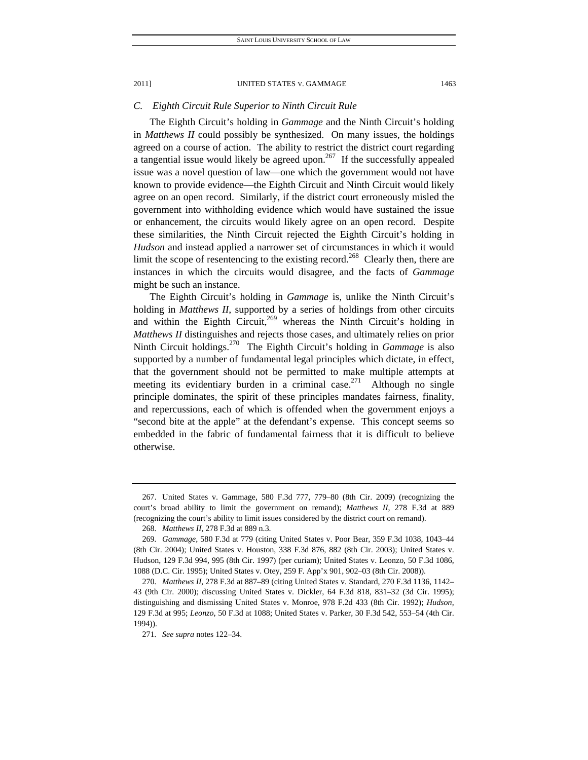## *C. Eighth Circuit Rule Superior to Ninth Circuit Rule*

The Eighth Circuit's holding in *Gammage* and the Ninth Circuit's holding in *Matthews II* could possibly be synthesized. On many issues, the holdings agreed on a course of action. The ability to restrict the district court regarding a tangential issue would likely be agreed upon.<sup>267</sup> If the successfully appealed issue was a novel question of law—one which the government would not have known to provide evidence—the Eighth Circuit and Ninth Circuit would likely agree on an open record. Similarly, if the district court erroneously misled the government into withholding evidence which would have sustained the issue or enhancement, the circuits would likely agree on an open record. Despite these similarities, the Ninth Circuit rejected the Eighth Circuit's holding in *Hudson* and instead applied a narrower set of circumstances in which it would limit the scope of resentencing to the existing record.<sup>268</sup> Clearly then, there are instances in which the circuits would disagree, and the facts of *Gammage* might be such an instance.

The Eighth Circuit's holding in *Gammage* is, unlike the Ninth Circuit's holding in *Matthews II*, supported by a series of holdings from other circuits and within the Eighth Circuit,<sup>269</sup> whereas the Ninth Circuit's holding in *Matthews II* distinguishes and rejects those cases, and ultimately relies on prior Ninth Circuit holdings.270 The Eighth Circuit's holding in *Gammage* is also supported by a number of fundamental legal principles which dictate, in effect, that the government should not be permitted to make multiple attempts at meeting its evidentiary burden in a criminal case.<sup>271</sup> Although no single principle dominates, the spirit of these principles mandates fairness, finality, and repercussions, each of which is offended when the government enjoys a "second bite at the apple" at the defendant's expense. This concept seems so embedded in the fabric of fundamental fairness that it is difficult to believe otherwise.

 <sup>267.</sup> United States v. Gammage, 580 F.3d 777, 779–80 (8th Cir. 2009) (recognizing the court's broad ability to limit the government on remand); *Matthews II*, 278 F.3d at 889 (recognizing the court's ability to limit issues considered by the district court on remand).

<sup>268</sup>*. Matthews II*, 278 F.3d at 889 n.3.

<sup>269</sup>*. Gammage*, 580 F.3d at 779 (citing United States v. Poor Bear, 359 F.3d 1038, 1043–44 (8th Cir. 2004); United States v. Houston, 338 F.3d 876, 882 (8th Cir. 2003); United States v. Hudson, 129 F.3d 994, 995 (8th Cir. 1997) (per curiam); United States v. Leonzo, 50 F.3d 1086, 1088 (D.C. Cir. 1995); United States v. Otey, 259 F. App'x 901, 902–03 (8th Cir. 2008)).

<sup>270</sup>*. Matthews II*, 278 F.3d at 887–89 (citing United States v. Standard, 270 F.3d 1136, 1142– 43 (9th Cir. 2000); discussing United States v. Dickler, 64 F.3d 818, 831–32 (3d Cir. 1995); distinguishing and dismissing United States v. Monroe, 978 F.2d 433 (8th Cir. 1992); *Hudson*, 129 F.3d at 995; *Leonzo*, 50 F.3d at 1088; United States v. Parker, 30 F.3d 542, 553–54 (4th Cir. 1994)).

<sup>271</sup>*. See supra* notes 122–34.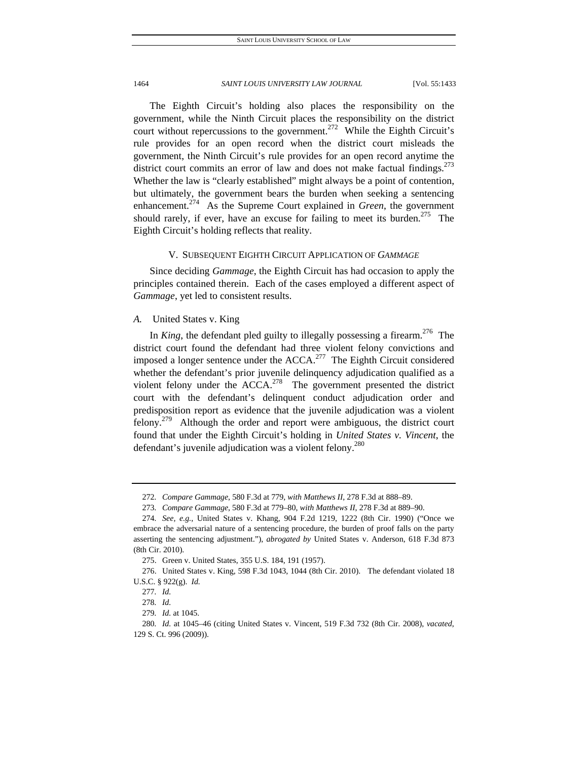The Eighth Circuit's holding also places the responsibility on the government, while the Ninth Circuit places the responsibility on the district court without repercussions to the government.<sup>272</sup> While the Eighth Circuit's rule provides for an open record when the district court misleads the government, the Ninth Circuit's rule provides for an open record anytime the district court commits an error of law and does not make factual findings.<sup>273</sup> Whether the law is "clearly established" might always be a point of contention, but ultimately, the government bears the burden when seeking a sentencing enhancement.274 As the Supreme Court explained in *Green*, the government should rarely, if ever, have an excuse for failing to meet its burden.<sup>275</sup> The Eighth Circuit's holding reflects that reality.

## V. SUBSEQUENT EIGHTH CIRCUIT APPLICATION OF *GAMMAGE*

Since deciding *Gammage*, the Eighth Circuit has had occasion to apply the principles contained therein. Each of the cases employed a different aspect of *Gammage*, yet led to consistent results.

## *A.* United States v. King

In *King*, the defendant pled guilty to illegally possessing a firearm.<sup>276</sup> The district court found the defendant had three violent felony convictions and imposed a longer sentence under the  $ACCA$ <sup>277</sup> The Eighth Circuit considered whether the defendant's prior juvenile delinquency adjudication qualified as a violent felony under the  $ACCA<sup>278</sup>$  The government presented the district court with the defendant's delinquent conduct adjudication order and predisposition report as evidence that the juvenile adjudication was a violent felony.<sup>279</sup> Although the order and report were ambiguous, the district court found that under the Eighth Circuit's holding in *United States v. Vincent*, the defendant's juvenile adjudication was a violent felony.<sup>280</sup>

<sup>272</sup>*. Compare Gammage*, 580 F.3d at 779, *with Matthews II*, 278 F.3d at 888–89.

<sup>273</sup>*. Compare Gammage*, 580 F.3d at 779–80, *with Matthews II*, 278 F.3d at 889–90.

<sup>274</sup>*. See, e.g.*, United States v. Khang, 904 F.2d 1219, 1222 (8th Cir. 1990) ("Once we embrace the adversarial nature of a sentencing procedure, the burden of proof falls on the party asserting the sentencing adjustment."), *abrogated by* United States v. Anderson, 618 F.3d 873 (8th Cir. 2010).

 <sup>275.</sup> Green v. United States, 355 U.S. 184, 191 (1957).

 <sup>276.</sup> United States v. King, 598 F.3d 1043, 1044 (8th Cir. 2010). The defendant violated 18 U.S.C. § 922(g). *Id.*

<sup>277</sup>*. Id.*

<sup>278</sup>*. Id.*

<sup>279</sup>*. Id.* at 1045.

<sup>280</sup>*. Id.* at 1045–46 (citing United States v. Vincent, 519 F.3d 732 (8th Cir. 2008), *vacated*, 129 S. Ct. 996 (2009)).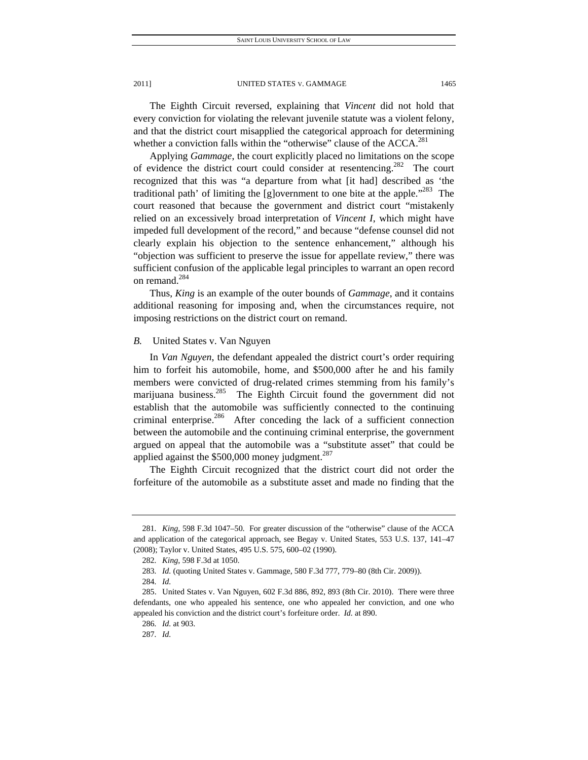The Eighth Circuit reversed, explaining that *Vincent* did not hold that every conviction for violating the relevant juvenile statute was a violent felony, and that the district court misapplied the categorical approach for determining whether a conviction falls within the "otherwise" clause of the ACCA.<sup>281</sup>

Applying *Gammage*, the court explicitly placed no limitations on the scope of evidence the district court could consider at resentencing.<sup>282</sup> The court recognized that this was "a departure from what [it had] described as 'the traditional path' of limiting the [g]overnment to one bite at the apple."<sup>283</sup> The court reasoned that because the government and district court "mistakenly relied on an excessively broad interpretation of *Vincent I*, which might have impeded full development of the record," and because "defense counsel did not clearly explain his objection to the sentence enhancement," although his "objection was sufficient to preserve the issue for appellate review," there was sufficient confusion of the applicable legal principles to warrant an open record on remand.<sup>284</sup>

Thus, *King* is an example of the outer bounds of *Gammage*, and it contains additional reasoning for imposing and, when the circumstances require, not imposing restrictions on the district court on remand.

*B.* United States v. Van Nguyen

In *Van Nguyen*, the defendant appealed the district court's order requiring him to forfeit his automobile, home, and \$500,000 after he and his family members were convicted of drug-related crimes stemming from his family's marijuana business.<sup>285</sup> The Eighth Circuit found the government did not establish that the automobile was sufficiently connected to the continuing criminal enterprise.<sup>286</sup> After conceding the lack of a sufficient connection between the automobile and the continuing criminal enterprise, the government argued on appeal that the automobile was a "substitute asset" that could be applied against the  $$500,000$  money judgment.<sup>287</sup>

The Eighth Circuit recognized that the district court did not order the forfeiture of the automobile as a substitute asset and made no finding that the

<sup>281</sup>*. King*, 598 F.3d 1047–50. For greater discussion of the "otherwise" clause of the ACCA and application of the categorical approach, see Begay v. United States, 553 U.S. 137, 141–47 (2008); Taylor v. United States, 495 U.S. 575, 600–02 (1990).

<sup>282</sup>*. King*, 598 F.3d at 1050.

<sup>283</sup>*. Id.* (quoting United States v. Gammage, 580 F.3d 777, 779–80 (8th Cir. 2009)).

<sup>284</sup>*. Id.*

 <sup>285.</sup> United States v. Van Nguyen, 602 F.3d 886, 892, 893 (8th Cir. 2010). There were three defendants, one who appealed his sentence, one who appealed her conviction, and one who appealed his conviction and the district court's forfeiture order. *Id.* at 890.

<sup>286</sup>*. Id.* at 903.

<sup>287</sup>*. Id.*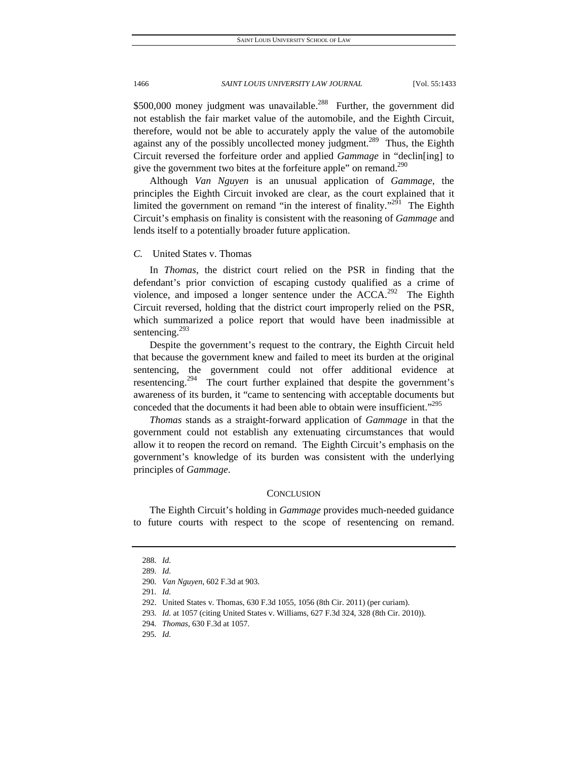$$500,000$  money judgment was unavailable.<sup>288</sup> Further, the government did not establish the fair market value of the automobile, and the Eighth Circuit, therefore, would not be able to accurately apply the value of the automobile against any of the possibly uncollected money judgment.<sup>289</sup> Thus, the Eighth Circuit reversed the forfeiture order and applied *Gammage* in "declin[ing] to give the government two bites at the forfeiture apple" on remand.<sup>290</sup>

Although *Van Nguyen* is an unusual application of *Gammage*, the principles the Eighth Circuit invoked are clear, as the court explained that it limited the government on remand "in the interest of finality."<sup>291</sup> The Eighth Circuit's emphasis on finality is consistent with the reasoning of *Gammage* and lends itself to a potentially broader future application.

## *C.* United States v. Thomas

In *Thomas*, the district court relied on the PSR in finding that the defendant's prior conviction of escaping custody qualified as a crime of violence, and imposed a longer sentence under the  $ACCA$ <sup>292</sup>. The Eighth Circuit reversed, holding that the district court improperly relied on the PSR, which summarized a police report that would have been inadmissible at sentencing.<sup>293</sup>

Despite the government's request to the contrary, the Eighth Circuit held that because the government knew and failed to meet its burden at the original sentencing, the government could not offer additional evidence at resentencing.<sup>294</sup> The court further explained that despite the government's awareness of its burden, it "came to sentencing with acceptable documents but conceded that the documents it had been able to obtain were insufficient."<sup>295</sup>

*Thomas* stands as a straight-forward application of *Gammage* in that the government could not establish any extenuating circumstances that would allow it to reopen the record on remand. The Eighth Circuit's emphasis on the government's knowledge of its burden was consistent with the underlying principles of *Gammage*.

## **CONCLUSION**

The Eighth Circuit's holding in *Gammage* provides much-needed guidance to future courts with respect to the scope of resentencing on remand.

<sup>288</sup>*. Id.*

<sup>289</sup>*. Id.*

<sup>290</sup>*. Van Nguyen*, 602 F.3d at 903.

<sup>291</sup>*. Id.*

 <sup>292.</sup> United States v. Thomas, 630 F.3d 1055, 1056 (8th Cir. 2011) (per curiam).

<sup>293</sup>*. Id.* at 1057 (citing United States v. Williams, 627 F.3d 324, 328 (8th Cir. 2010)).

<sup>294</sup>*. Thomas*, 630 F.3d at 1057.

<sup>295</sup>*. Id.*